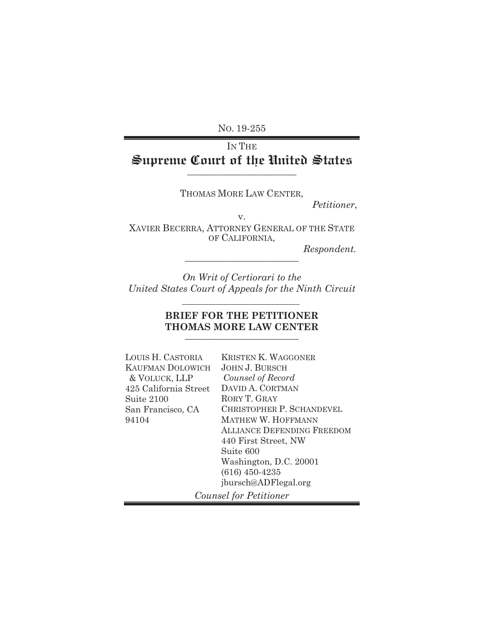NO. 19-255

# IN THE **Supreme Court of the United States** \_\_\_\_\_\_\_\_\_\_\_\_\_\_\_\_\_\_\_\_\_\_\_

THOMAS MORE LAW CENTER,

 *Petitioner*,

v.

XAVIER BECERRA, ATTORNEY GENERAL OF THE STATE OF CALIFORNIA,

 $Respondent.$ 

*On Writ of Certiorari to the United States Court of Appeals for the Ninth Circuit* 

## **BRIEF FOR THE PETITIONER THOMAS MORE LAW CENTER**

| LOUIS H. CASTORIA       | <b>KRISTEN K. WAGGONER</b>        |
|-------------------------|-----------------------------------|
| <b>KAUFMAN DOLOWICH</b> | <b>JOHN J. BURSCH</b>             |
| & VOLUCK, LLP           | Counsel of Record                 |
| 425 California Street   | DAVID A. CORTMAN                  |
| Suite 2100              | RORY T. GRAY                      |
| San Francisco, CA       | <b>CHRISTOPHER P. SCHANDEVEL</b>  |
| 94104                   | <b>MATHEW W. HOFFMANN</b>         |
|                         | <b>ALLIANCE DEFENDING FREEDOM</b> |
|                         | 440 First Street, NW              |
|                         | Suite 600                         |
|                         | Washington, D.C. 20001            |
|                         | $(616)$ 450-4235                  |
|                         | jbursch@ADFlegal.org              |
|                         | Counsel for Petitioner            |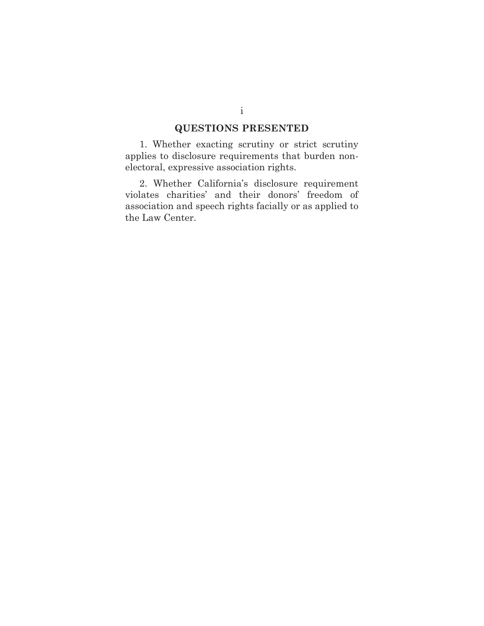## **QUESTIONS PRESENTED**

1. Whether exacting scrutiny or strict scrutiny applies to disclosure requirements that burden nonelectoral, expressive association rights.

2. Whether California's disclosure requirement violates charities' and their donors' freedom of association and speech rights facially or as applied to the Law Center.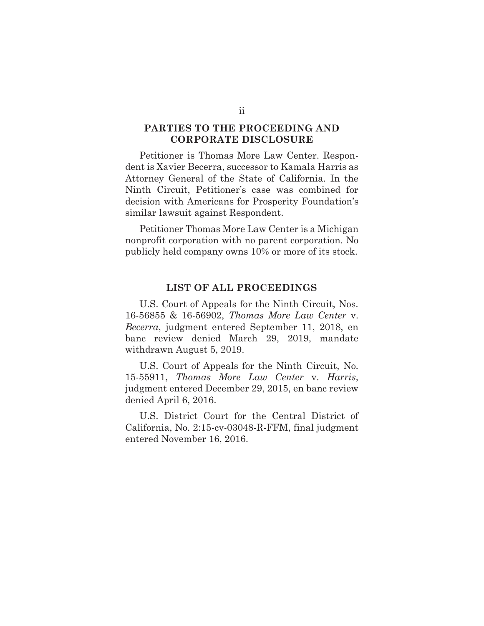#### **PARTIES TO THE PROCEEDING AND CORPORATE DISCLOSURE**

Petitioner is Thomas More Law Center. Respondent is Xavier Becerra, successor to Kamala Harris as Attorney General of the State of California. In the Ninth Circuit, Petitioner's case was combined for decision with Americans for Prosperity Foundation's similar lawsuit against Respondent.

Petitioner Thomas More Law Center is a Michigan nonprofit corporation with no parent corporation. No publicly held company owns 10% or more of its stock.

#### **LIST OF ALL PROCEEDINGS**

U.S. Court of Appeals for the Ninth Circuit, Nos. 16-56855 & 16-56902, *Thomas More Law Center* v. *Becerra*, judgment entered September 11, 2018, en banc review denied March 29, 2019, mandate withdrawn August 5, 2019.

U.S. Court of Appeals for the Ninth Circuit, No. 15-55911, *Thomas More Law Center* v. *Harris*, judgment entered December 29, 2015, en banc review denied April 6, 2016.

U.S. District Court for the Central District of California, No. 2:15-cv-03048-R-FFM, final judgment entered November 16, 2016.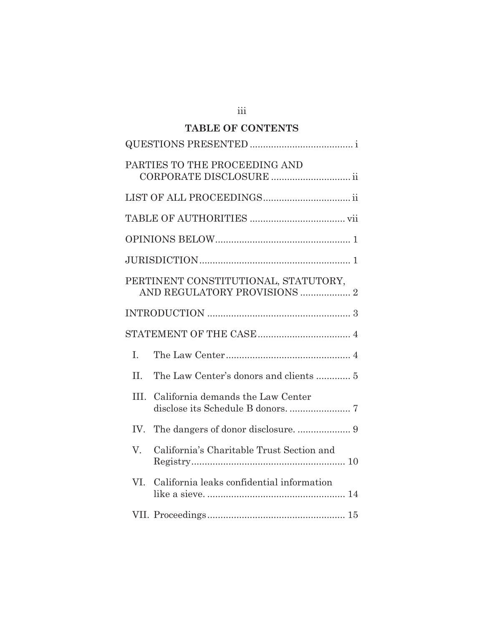## **TABLE OF CONTENTS**

|      | PARTIES TO THE PROCEEDING AND<br>CORPORATE DISCLOSURE  ii            |
|------|----------------------------------------------------------------------|
|      |                                                                      |
|      |                                                                      |
|      |                                                                      |
|      |                                                                      |
|      | PERTINENT CONSTITUTIONAL, STATUTORY,<br>AND REGULATORY PROVISIONS  2 |
|      |                                                                      |
|      |                                                                      |
| I.   |                                                                      |
| II.  |                                                                      |
| III. | California demands the Law Center                                    |
|      |                                                                      |
| V.   | California's Charitable Trust Section and                            |
| VI.  | California leaks confidential information                            |
|      |                                                                      |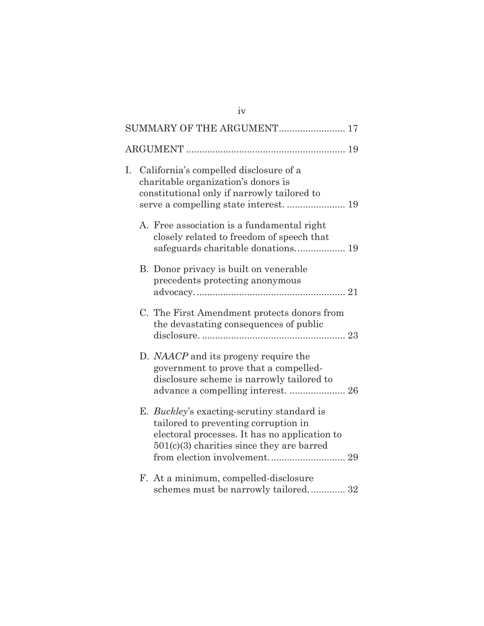|    | SUMMARY OF THE ARGUMENT 17                                                                                                                                                                |  |
|----|-------------------------------------------------------------------------------------------------------------------------------------------------------------------------------------------|--|
|    |                                                                                                                                                                                           |  |
| I. | California's compelled disclosure of a<br>charitable organization's donors is<br>constitutional only if narrowly tailored to                                                              |  |
|    | A. Free association is a fundamental right<br>closely related to freedom of speech that<br>safeguards charitable donations 19                                                             |  |
|    | B. Donor privacy is built on venerable<br>precedents protecting anonymous                                                                                                                 |  |
|    | C. The First Amendment protects donors from<br>the devastating consequences of public                                                                                                     |  |
|    | D. NAACP and its progeny require the<br>government to prove that a compelled-<br>disclosure scheme is narrowly tailored to                                                                |  |
|    | E. <i>Buckley's</i> exacting-scrutiny standard is<br>tailored to preventing corruption in<br>electoral processes. It has no application to<br>$501(c)(3)$ charities since they are barred |  |
|    | F. At a minimum, compelled-disclosure<br>schemes must be narrowly tailored 32                                                                                                             |  |

iv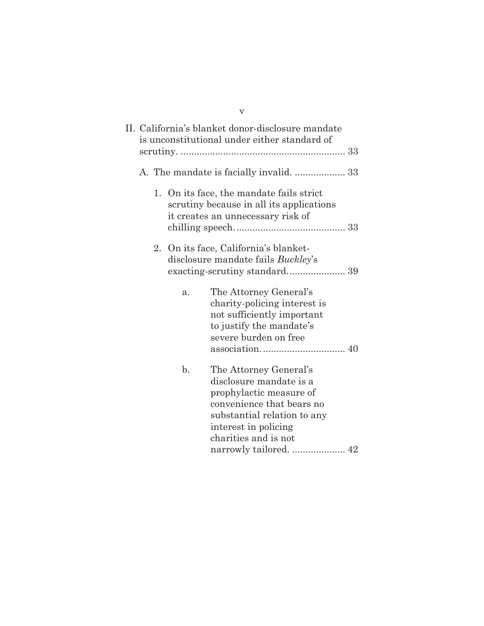|  |                | $\overline{\mathbf{V}}$                                                                                                                                                                                            |  |
|--|----------------|--------------------------------------------------------------------------------------------------------------------------------------------------------------------------------------------------------------------|--|
|  |                | II. California's blanket donor-disclosure mandate<br>is unconstitutional under either standard of                                                                                                                  |  |
|  |                |                                                                                                                                                                                                                    |  |
|  |                | 1. On its face, the mandate fails strict<br>scrutiny because in all its applications<br>it creates an unnecessary risk of                                                                                          |  |
|  |                | 2. On its face, California's blanket-<br>disclosure mandate fails Buckley's                                                                                                                                        |  |
|  | a.             | The Attorney General's<br>charity-policing interest is<br>not sufficiently important<br>to justify the mandate's<br>severe burden on free                                                                          |  |
|  | $\mathbf{b}$ . | The Attorney General's<br>disclosure mandate is a<br>prophylactic measure of<br>convenience that bears no<br>substantial relation to any<br>interest in policing<br>charities and is not<br>narrowly tailored.  42 |  |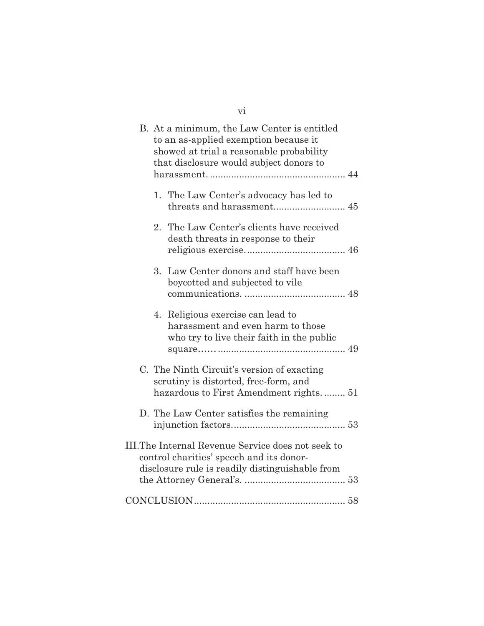| vi                                                                                                                                                                          |
|-----------------------------------------------------------------------------------------------------------------------------------------------------------------------------|
| B. At a minimum, the Law Center is entitled<br>to an as-applied exemption because it<br>showed at trial a reasonable probability<br>that disclosure would subject donors to |
| 1. The Law Center's advocacy has led to<br>threats and harassment 45                                                                                                        |
| 2. The Law Center's clients have received<br>death threats in response to their                                                                                             |
| Law Center donors and staff have been<br>3.<br>boycotted and subjected to vile                                                                                              |
| Religious exercise can lead to<br>4.<br>harassment and even harm to those<br>who try to live their faith in the public                                                      |
| C. The Ninth Circuit's version of exacting<br>scrutiny is distorted, free-form, and<br>hazardous to First Amendment rights 51                                               |
| D. The Law Center satisfies the remaining                                                                                                                                   |
| III. The Internal Revenue Service does not seek to<br>control charities' speech and its donor-<br>disclosure rule is readily distinguishable from                           |
|                                                                                                                                                                             |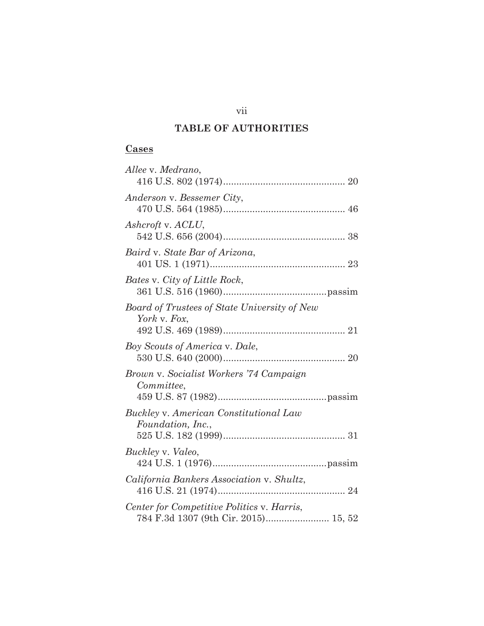# **TABLE OF AUTHORITIES**

## **Cases**

| Allee v. Medrano,                                                                  |
|------------------------------------------------------------------------------------|
| Anderson v. Bessemer City,                                                         |
| Ashcroft v. ACLU,                                                                  |
| Baird v. State Bar of Arizona,                                                     |
| Bates v. City of Little Rock,                                                      |
| Board of Trustees of State University of New<br>York v. Fox,                       |
| Boy Scouts of America v. Dale,                                                     |
| Brown v. Socialist Workers '74 Campaign<br>Committee,                              |
| Buckley v. American Constitutional Law<br>Foundation, Inc.,                        |
| Buckley v. Valeo,                                                                  |
| California Bankers Association v. Shultz,                                          |
| Center for Competitive Politics v. Harris,<br>784 F.3d 1307 (9th Cir. 2015) 15, 52 |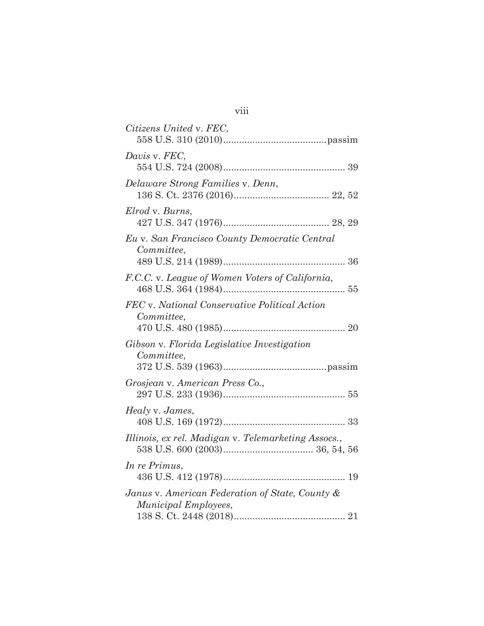| Citizens United v. FEC,                                                 |
|-------------------------------------------------------------------------|
| Davis v. FEC,                                                           |
| Delaware Strong Families v. Denn,                                       |
| Elrod v. Burns,                                                         |
| Eu v. San Francisco County Democratic Central<br>Committee.             |
| F.C.C. v. League of Women Voters of California,                         |
| FEC v. National Conservative Political Action<br>Committee,             |
| Gibson v. Florida Legislative Investigation<br>Committee,               |
| Grosjean v. American Press Co.,                                         |
| Healy v. James,                                                         |
| Illinois, ex rel. Madigan v. Telemarketing Assocs.,                     |
| In re Primus,                                                           |
| Janus v. American Federation of State, County &<br>Municipal Employees, |

| × | × |  |
|---|---|--|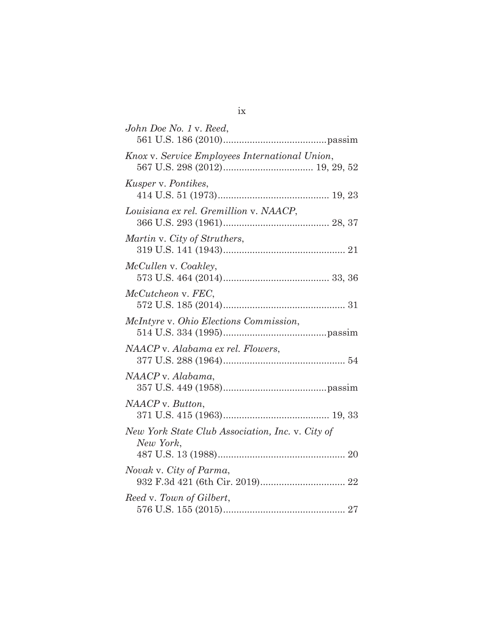| John Doe No. 1 v. Reed,                                       |
|---------------------------------------------------------------|
| Knox v. Service Employees International Union,                |
| <i>Kusper v. Pontikes,</i>                                    |
| Louisiana ex rel. Gremillion v. NAACP,                        |
| Martin v. City of Struthers,                                  |
| McCullen v. Coakley,                                          |
| McCutcheon v. FEC,                                            |
| McIntyre v. Ohio Elections Commission,                        |
| NAACP v. Alabama ex rel. Flowers,                             |
| NAACP v. Alabama,                                             |
| NAACP v. Button,                                              |
| New York State Club Association, Inc. v. City of<br>New York, |
| Novak v. City of Parma,                                       |
| Reed v. Town of Gilbert,                                      |

ix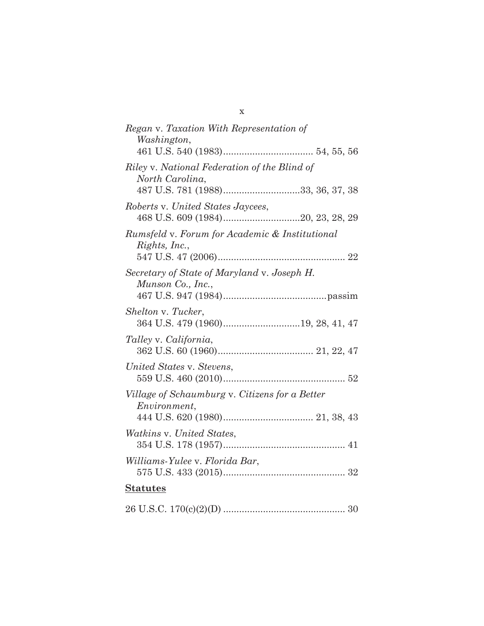| Regan v. Taxation With Representation of<br>Washington,                                              |
|------------------------------------------------------------------------------------------------------|
| Riley v. National Federation of the Blind of<br>North Carolina,<br>487 U.S. 781 (1988)33, 36, 37, 38 |
| Roberts v. United States Jaycees,                                                                    |
| Rumsfeld v. Forum for Academic & Institutional<br>Rights, Inc.,                                      |
| Secretary of State of Maryland v. Joseph H.<br>Munson Co., Inc.,                                     |
| Shelton v. Tucker,                                                                                   |
| Talley v. California,                                                                                |
| United States v. Stevens,                                                                            |
| Village of Schaumburg v. Citizens for a Better<br><i>Environment,</i>                                |
| <i>Watkins v. United States,</i>                                                                     |
| Williams-Yulee v. Florida Bar,                                                                       |
| <b>Statutes</b>                                                                                      |
|                                                                                                      |

x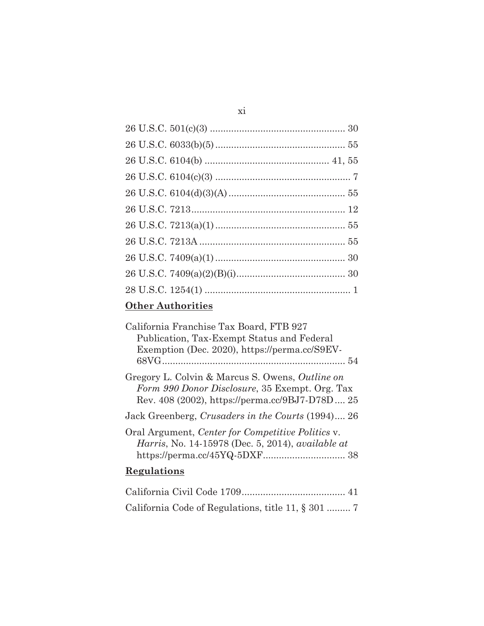# **Other Authorities**

| California Franchise Tax Board, FTB 927                                                                                                             |
|-----------------------------------------------------------------------------------------------------------------------------------------------------|
| Publication, Tax-Exempt Status and Federal                                                                                                          |
| Exemption (Dec. 2020), https://perma.cc/S9EV-                                                                                                       |
|                                                                                                                                                     |
| Gregory L. Colvin & Marcus S. Owens, Outline on<br>Form 990 Donor Disclosure, 35 Exempt. Org. Tax<br>Rev. 408 (2002), https://perma.cc/9BJ7-D78D 25 |
| Jack Greenberg, Crusaders in the Courts (1994) 26                                                                                                   |
| Oral Argument, Center for Competitive Politics v.<br><i>Harris</i> , No. 14-15978 (Dec. 5, 2014), <i>available at</i>                               |
| Regulations                                                                                                                                         |
|                                                                                                                                                     |

California Code of Regulations, title 11, § 301 ......... 7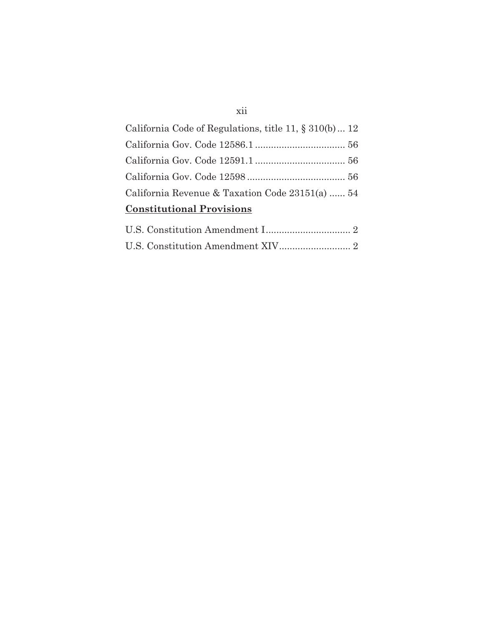# xii

| <b>Constitutional Provisions</b>                       |  |
|--------------------------------------------------------|--|
| California Revenue & Taxation Code 23151(a)  54        |  |
|                                                        |  |
|                                                        |  |
|                                                        |  |
| California Code of Regulations, title 11, § 310(b)  12 |  |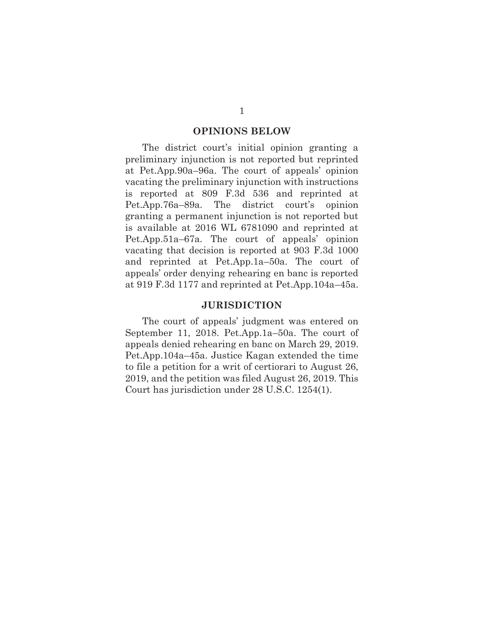#### **OPINIONS BELOW**

The district court's initial opinion granting a preliminary injunction is not reported but reprinted at Pet.App.90a–96a. The court of appeals' opinion vacating the preliminary injunction with instructions is reported at 809 F.3d 536 and reprinted at Pet.App.76a–89a. The district court's opinion granting a permanent injunction is not reported but is available at 2016 WL 6781090 and reprinted at Pet.App.51a–67a. The court of appeals' opinion vacating that decision is reported at 903 F.3d 1000 and reprinted at Pet.App.1a–50a. The court of appeals' order denying rehearing en banc is reported at 919 F.3d 1177 and reprinted at Pet.App.104a–45a.

#### **JURISDICTION**

The court of appeals' judgment was entered on September 11, 2018. Pet.App.1a–50a. The court of appeals denied rehearing en banc on March 29, 2019. Pet.App.104a–45a. Justice Kagan extended the time to file a petition for a writ of certiorari to August 26, 2019, and the petition was filed August 26, 2019. This Court has jurisdiction under 28 U.S.C. 1254(1).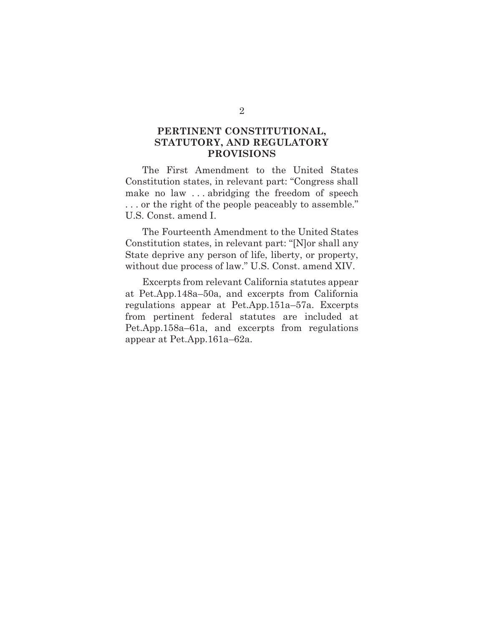## **PERTINENT CONSTITUTIONAL, STATUTORY, AND REGULATORY PROVISIONS**

The First Amendment to the United States Constitution states, in relevant part: "Congress shall make no law . . . abridging the freedom of speech . . . or the right of the people peaceably to assemble." U.S. Const. amend I.

The Fourteenth Amendment to the United States Constitution states, in relevant part: "[N]or shall any State deprive any person of life, liberty, or property, without due process of law." U.S. Const. amend XIV.

Excerpts from relevant California statutes appear at Pet.App.148a–50a, and excerpts from California regulations appear at Pet.App.151a–57a. Excerpts from pertinent federal statutes are included at Pet.App.158a–61a, and excerpts from regulations appear at Pet.App.161a–62a.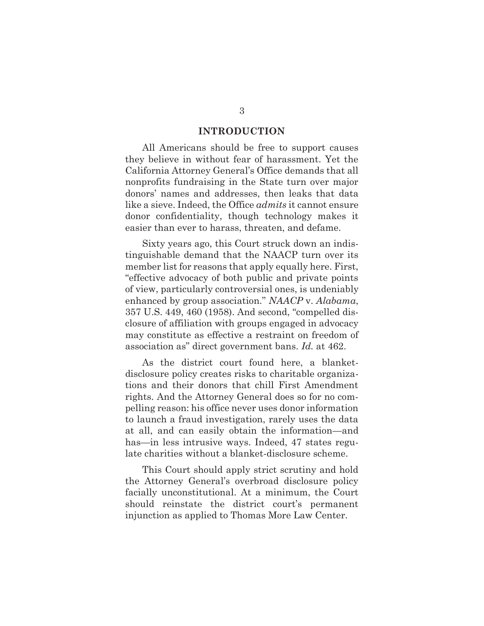#### **INTRODUCTION**

All Americans should be free to support causes they believe in without fear of harassment. Yet the California Attorney General's Office demands that all nonprofits fundraising in the State turn over major donors' names and addresses, then leaks that data like a sieve. Indeed, the Office *admits* it cannot ensure donor confidentiality, though technology makes it easier than ever to harass, threaten, and defame.

Sixty years ago, this Court struck down an indistinguishable demand that the NAACP turn over its member list for reasons that apply equally here. First, "effective advocacy of both public and private points of view, particularly controversial ones, is undeniably enhanced by group association." *NAACP* v. *Alabama*, 357 U.S. 449, 460 (1958). And second, "compelled disclosure of affiliation with groups engaged in advocacy may constitute as effective a restraint on freedom of association as" direct government bans. *Id.* at 462.

As the district court found here, a blanketdisclosure policy creates risks to charitable organizations and their donors that chill First Amendment rights. And the Attorney General does so for no compelling reason: his office never uses donor information to launch a fraud investigation, rarely uses the data at all, and can easily obtain the information—and has—in less intrusive ways. Indeed, 47 states regulate charities without a blanket-disclosure scheme.

This Court should apply strict scrutiny and hold the Attorney General's overbroad disclosure policy facially unconstitutional. At a minimum, the Court should reinstate the district court's permanent injunction as applied to Thomas More Law Center.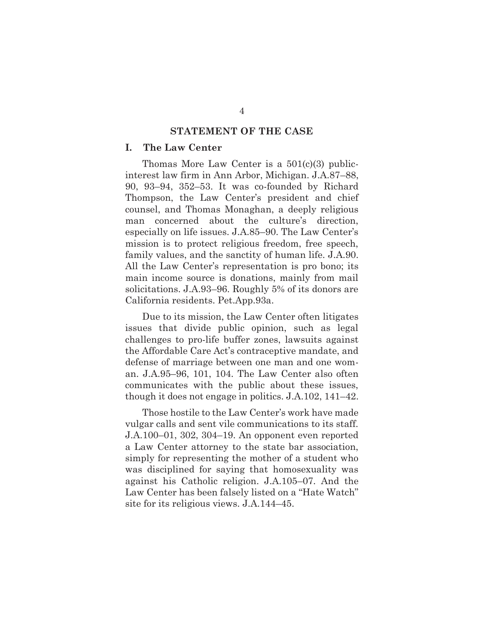#### **STATEMENT OF THE CASE**

#### **I. The Law Center**

Thomas More Law Center is a 501(c)(3) publicinterest law firm in Ann Arbor, Michigan. J.A.87–88, 90, 93–94, 352–53. It was co-founded by Richard Thompson, the Law Center's president and chief counsel, and Thomas Monaghan, a deeply religious man concerned about the culture's direction, especially on life issues. J.A.85–90. The Law Center's mission is to protect religious freedom, free speech, family values, and the sanctity of human life. J.A.90. All the Law Center's representation is pro bono; its main income source is donations, mainly from mail solicitations. J.A.93–96. Roughly 5% of its donors are California residents. Pet.App.93a.

Due to its mission, the Law Center often litigates issues that divide public opinion, such as legal challenges to pro-life buffer zones, lawsuits against the Affordable Care Act's contraceptive mandate, and defense of marriage between one man and one woman. J.A.95–96, 101, 104. The Law Center also often communicates with the public about these issues, though it does not engage in politics. J.A.102, 141–42.

Those hostile to the Law Center's work have made vulgar calls and sent vile communications to its staff. J.A.100–01, 302, 304–19. An opponent even reported a Law Center attorney to the state bar association, simply for representing the mother of a student who was disciplined for saying that homosexuality was against his Catholic religion. J.A.105–07. And the Law Center has been falsely listed on a "Hate Watch" site for its religious views. J.A.144–45.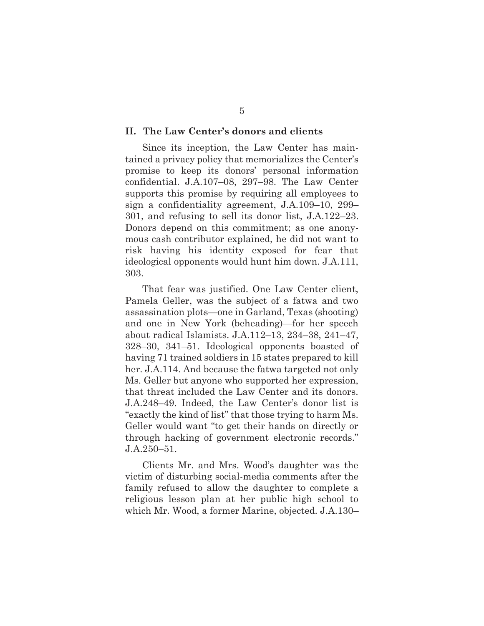#### **II. The Law Center's donors and clients**

Since its inception, the Law Center has maintained a privacy policy that memorializes the Center's promise to keep its donors' personal information confidential. J.A.107–08, 297–98. The Law Center supports this promise by requiring all employees to sign a confidentiality agreement, J.A.109–10, 299– 301, and refusing to sell its donor list, J.A.122–23. Donors depend on this commitment; as one anonymous cash contributor explained, he did not want to risk having his identity exposed for fear that ideological opponents would hunt him down. J.A.111, 303.

That fear was justified. One Law Center client, Pamela Geller, was the subject of a fatwa and two assassination plots—one in Garland, Texas (shooting) and one in New York (beheading)—for her speech about radical Islamists. J.A.112–13, 234–38, 241–47, 328–30, 341–51. Ideological opponents boasted of having 71 trained soldiers in 15 states prepared to kill her. J.A.114. And because the fatwa targeted not only Ms. Geller but anyone who supported her expression, that threat included the Law Center and its donors. J.A.248–49. Indeed, the Law Center's donor list is "exactly the kind of list" that those trying to harm Ms. Geller would want "to get their hands on directly or through hacking of government electronic records." J.A.250–51.

Clients Mr. and Mrs. Wood's daughter was the victim of disturbing social-media comments after the family refused to allow the daughter to complete a religious lesson plan at her public high school to which Mr. Wood, a former Marine, objected. J.A.130–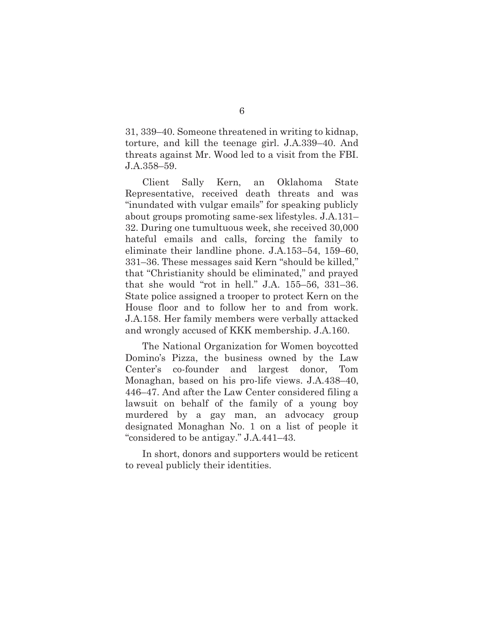31, 339–40. Someone threatened in writing to kidnap, torture, and kill the teenage girl. J.A.339–40. And threats against Mr. Wood led to a visit from the FBI. J.A.358–59.

Client Sally Kern, an Oklahoma State Representative, received death threats and was "inundated with vulgar emails" for speaking publicly about groups promoting same-sex lifestyles. J.A.131– 32. During one tumultuous week, she received 30,000 hateful emails and calls, forcing the family to eliminate their landline phone. J.A.153–54, 159–60, 331–36. These messages said Kern "should be killed," that "Christianity should be eliminated," and prayed that she would "rot in hell." J.A. 155–56, 331–36. State police assigned a trooper to protect Kern on the House floor and to follow her to and from work. J.A.158. Her family members were verbally attacked and wrongly accused of KKK membership. J.A.160.

The National Organization for Women boycotted Domino's Pizza, the business owned by the Law Center's co-founder and largest donor, Tom Monaghan, based on his pro-life views. J.A.438–40, 446–47. And after the Law Center considered filing a lawsuit on behalf of the family of a young boy murdered by a gay man, an advocacy group designated Monaghan No. 1 on a list of people it "considered to be antigay." J.A.441–43.

In short, donors and supporters would be reticent to reveal publicly their identities.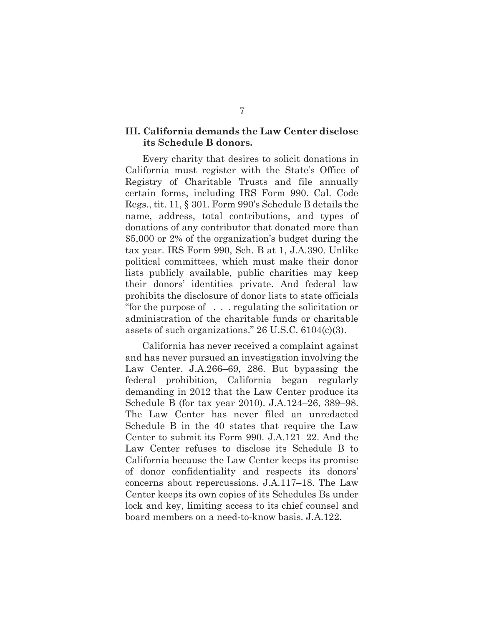#### **III. California demands the Law Center disclose its Schedule B donors.**

Every charity that desires to solicit donations in California must register with the State's Office of Registry of Charitable Trusts and file annually certain forms, including IRS Form 990. Cal. Code Regs., tit. 11, § 301. Form 990's Schedule B details the name, address, total contributions, and types of donations of any contributor that donated more than \$5,000 or 2% of the organization's budget during the tax year. IRS Form 990, Sch. B at 1, J.A.390. Unlike political committees, which must make their donor lists publicly available, public charities may keep their donors' identities private. And federal law prohibits the disclosure of donor lists to state officials "for the purpose of . . . regulating the solicitation or administration of the charitable funds or charitable assets of such organizations." 26 U.S.C. 6104(c)(3).

California has never received a complaint against and has never pursued an investigation involving the Law Center. J.A.266–69, 286. But bypassing the federal prohibition, California began regularly demanding in 2012 that the Law Center produce its Schedule B (for tax year 2010). J.A.124–26, 389–98. The Law Center has never filed an unredacted Schedule B in the 40 states that require the Law Center to submit its Form 990. J.A.121–22. And the Law Center refuses to disclose its Schedule B to California because the Law Center keeps its promise of donor confidentiality and respects its donors' concerns about repercussions. J.A.117–18. The Law Center keeps its own copies of its Schedules Bs under lock and key, limiting access to its chief counsel and board members on a need-to-know basis. J.A.122.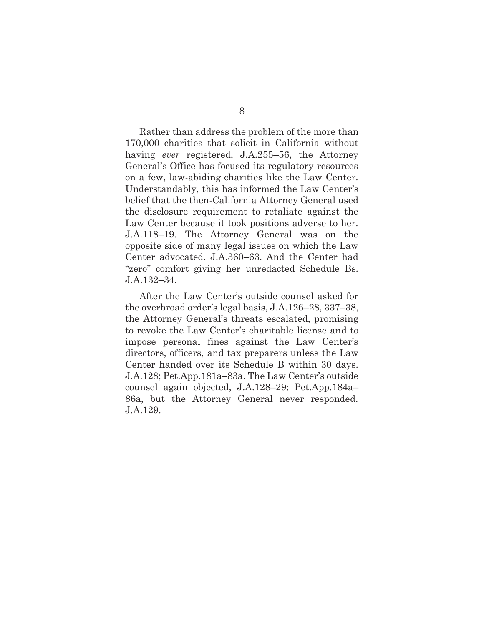Rather than address the problem of the more than 170,000 charities that solicit in California without having *ever* registered, J.A.255–56, the Attorney General's Office has focused its regulatory resources on a few, law-abiding charities like the Law Center. Understandably, this has informed the Law Center's belief that the then-California Attorney General used the disclosure requirement to retaliate against the Law Center because it took positions adverse to her. J.A.118–19. The Attorney General was on the opposite side of many legal issues on which the Law Center advocated. J.A.360–63. And the Center had "zero" comfort giving her unredacted Schedule Bs. J.A.132–34.

After the Law Center's outside counsel asked for the overbroad order's legal basis, J.A.126–28, 337–38, the Attorney General's threats escalated, promising to revoke the Law Center's charitable license and to impose personal fines against the Law Center's directors, officers, and tax preparers unless the Law Center handed over its Schedule B within 30 days. J.A.128; Pet.App.181a–83a. The Law Center's outside counsel again objected, J.A.128–29; Pet.App.184a– 86a, but the Attorney General never responded. J.A.129.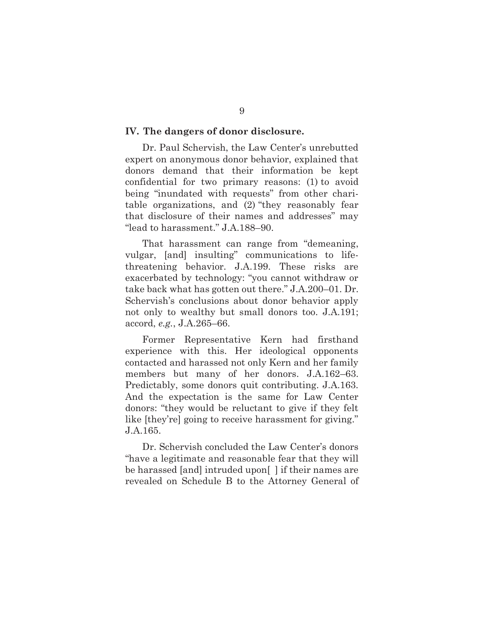#### **IV. The dangers of donor disclosure.**

Dr. Paul Schervish, the Law Center's unrebutted expert on anonymous donor behavior, explained that donors demand that their information be kept confidential for two primary reasons: (1) to avoid being "inundated with requests" from other charitable organizations, and (2) "they reasonably fear that disclosure of their names and addresses" may "lead to harassment." J.A.188–90.

That harassment can range from "demeaning, vulgar, [and] insulting" communications to lifethreatening behavior. J.A.199. These risks are exacerbated by technology: "you cannot withdraw or take back what has gotten out there." J.A.200–01. Dr. Schervish's conclusions about donor behavior apply not only to wealthy but small donors too. J.A.191; accord, *e.g.*, J.A.265–66.

Former Representative Kern had firsthand experience with this. Her ideological opponents contacted and harassed not only Kern and her family members but many of her donors. J.A.162–63. Predictably, some donors quit contributing. J.A.163. And the expectation is the same for Law Center donors: "they would be reluctant to give if they felt like [they're] going to receive harassment for giving." J.A.165.

Dr. Schervish concluded the Law Center's donors "have a legitimate and reasonable fear that they will be harassed [and] intruded upon[ ] if their names are revealed on Schedule B to the Attorney General of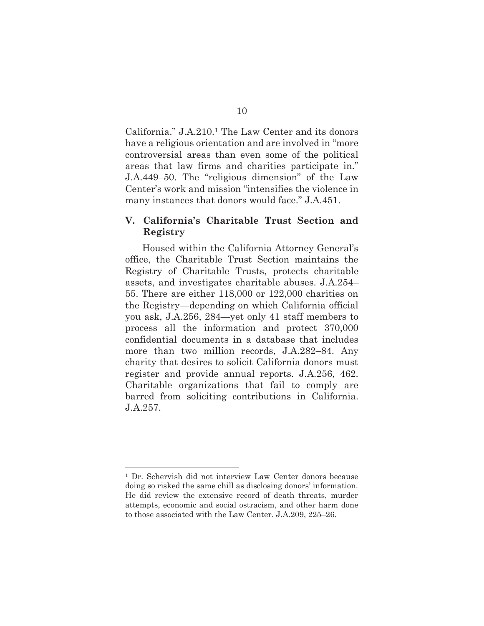California." J.A.210.1 The Law Center and its donors have a religious orientation and are involved in "more controversial areas than even some of the political areas that law firms and charities participate in." J.A.449–50. The "religious dimension" of the Law Center's work and mission "intensifies the violence in many instances that donors would face." J.A.451.

#### **V. California's Charitable Trust Section and Registry**

Housed within the California Attorney General's office, the Charitable Trust Section maintains the Registry of Charitable Trusts, protects charitable assets, and investigates charitable abuses. J.A.254– 55. There are either 118,000 or 122,000 charities on the Registry—depending on which California official you ask, J.A.256, 284—yet only 41 staff members to process all the information and protect 370,000 confidential documents in a database that includes more than two million records, J.A.282–84. Any charity that desires to solicit California donors must register and provide annual reports. J.A.256, 462. Charitable organizations that fail to comply are barred from soliciting contributions in California. J.A.257.

<sup>1</sup> Dr. Schervish did not interview Law Center donors because doing so risked the same chill as disclosing donors' information. He did review the extensive record of death threats, murder attempts, economic and social ostracism, and other harm done to those associated with the Law Center. J.A.209, 225–26.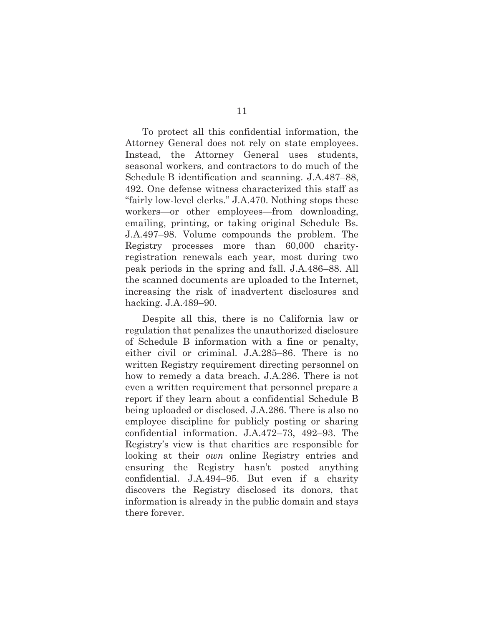To protect all this confidential information, the Attorney General does not rely on state employees. Instead, the Attorney General uses students, seasonal workers, and contractors to do much of the Schedule B identification and scanning. J.A.487–88, 492. One defense witness characterized this staff as "fairly low-level clerks." J.A.470. Nothing stops these workers—or other employees—from downloading, emailing, printing, or taking original Schedule Bs. J.A.497–98. Volume compounds the problem. The Registry processes more than 60,000 charityregistration renewals each year, most during two peak periods in the spring and fall. J.A.486–88. All the scanned documents are uploaded to the Internet, increasing the risk of inadvertent disclosures and hacking. J.A.489–90.

Despite all this, there is no California law or regulation that penalizes the unauthorized disclosure of Schedule B information with a fine or penalty, either civil or criminal. J.A.285–86. There is no written Registry requirement directing personnel on how to remedy a data breach. J.A.286. There is not even a written requirement that personnel prepare a report if they learn about a confidential Schedule B being uploaded or disclosed. J.A.286. There is also no employee discipline for publicly posting or sharing confidential information. J.A.472–73, 492–93. The Registry's view is that charities are responsible for looking at their *own* online Registry entries and ensuring the Registry hasn't posted anything confidential. J.A.494–95. But even if a charity discovers the Registry disclosed its donors, that information is already in the public domain and stays there forever.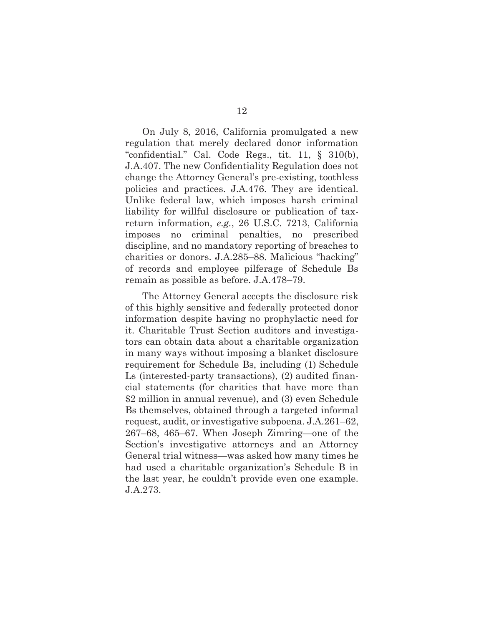On July 8, 2016, California promulgated a new regulation that merely declared donor information "confidential." Cal. Code Regs., tit. 11, § 310(b), J.A.407. The new Confidentiality Regulation does not change the Attorney General's pre-existing, toothless policies and practices. J.A.476. They are identical. Unlike federal law, which imposes harsh criminal liability for willful disclosure or publication of taxreturn information, *e.g.*, 26 U.S.C. 7213, California imposes no criminal penalties, no prescribed discipline, and no mandatory reporting of breaches to charities or donors. J.A.285–88. Malicious "hacking" of records and employee pilferage of Schedule Bs remain as possible as before. J.A.478–79.

The Attorney General accepts the disclosure risk of this highly sensitive and federally protected donor information despite having no prophylactic need for it. Charitable Trust Section auditors and investigators can obtain data about a charitable organization in many ways without imposing a blanket disclosure requirement for Schedule Bs, including (1) Schedule Ls (interested-party transactions), (2) audited financial statements (for charities that have more than \$2 million in annual revenue), and (3) even Schedule Bs themselves, obtained through a targeted informal request, audit, or investigative subpoena. J.A.261–62, 267–68, 465–67. When Joseph Zimring—one of the Section's investigative attorneys and an Attorney General trial witness—was asked how many times he had used a charitable organization's Schedule B in the last year, he couldn't provide even one example. J.A.273.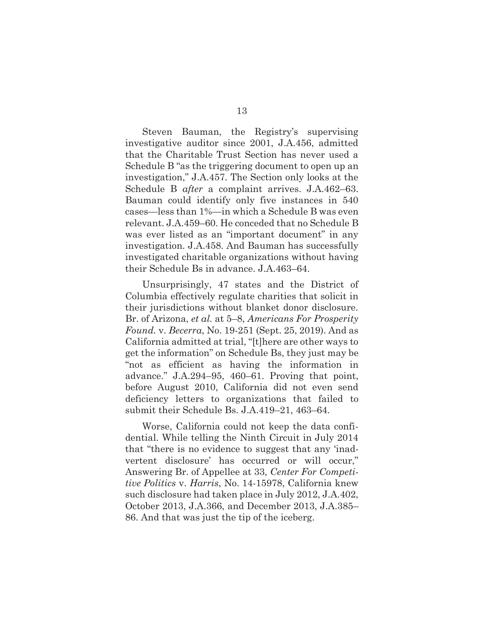Steven Bauman, the Registry's supervising investigative auditor since 2001, J.A.456, admitted that the Charitable Trust Section has never used a Schedule B "as the triggering document to open up an investigation," J.A.457. The Section only looks at the Schedule B *after* a complaint arrives. J.A.462–63. Bauman could identify only five instances in 540 cases—less than 1%—in which a Schedule B was even relevant. J.A.459–60. He conceded that no Schedule B was ever listed as an "important document" in any investigation. J.A.458. And Bauman has successfully investigated charitable organizations without having their Schedule Bs in advance. J.A.463–64.

Unsurprisingly, 47 states and the District of Columbia effectively regulate charities that solicit in their jurisdictions without blanket donor disclosure. Br. of Arizona, *et al.* at 5–8, *Americans For Prosperity Found.* v. *Becerra*, No. 19-251 (Sept. 25, 2019). And as California admitted at trial, "[t]here are other ways to get the information" on Schedule Bs, they just may be "not as efficient as having the information in advance." J.A.294–95, 460–61. Proving that point, before August 2010, California did not even send deficiency letters to organizations that failed to submit their Schedule Bs. J.A.419–21, 463–64.

Worse, California could not keep the data confidential. While telling the Ninth Circuit in July 2014 that "there is no evidence to suggest that any 'inadvertent disclosure' has occurred or will occur," Answering Br. of Appellee at 33, *Center For Competitive Politics* v. *Harris*, No. 14-15978, California knew such disclosure had taken place in July 2012, J.A.402, October 2013, J.A.366, and December 2013, J.A.385– 86. And that was just the tip of the iceberg.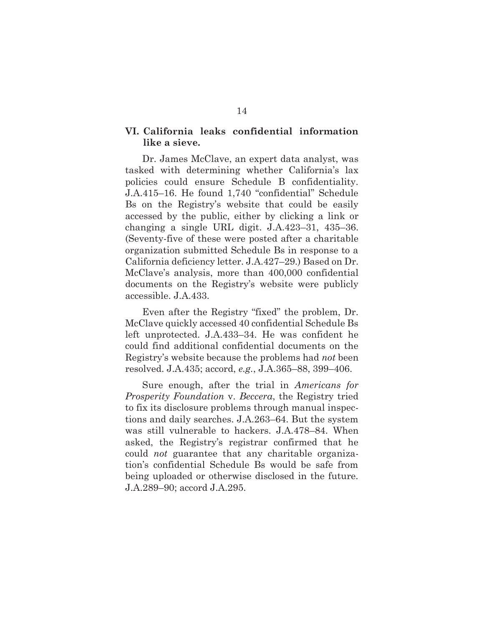#### **VI. California leaks confidential information like a sieve.**

Dr. James McClave, an expert data analyst, was tasked with determining whether California's lax policies could ensure Schedule B confidentiality. J.A.415–16. He found 1,740 "confidential" Schedule Bs on the Registry's website that could be easily accessed by the public, either by clicking a link or changing a single URL digit. J.A.423–31, 435–36. (Seventy-five of these were posted after a charitable organization submitted Schedule Bs in response to a California deficiency letter. J.A.427–29.) Based on Dr. McClave's analysis, more than 400,000 confidential documents on the Registry's website were publicly accessible. J.A.433.

Even after the Registry "fixed" the problem, Dr. McClave quickly accessed 40 confidential Schedule Bs left unprotected. J.A.433–34. He was confident he could find additional confidential documents on the Registry's website because the problems had *not* been resolved. J.A.435; accord, *e.g.*, J.A.365–88, 399–406.

Sure enough, after the trial in *Americans for Prosperity Foundation* v. *Beccera*, the Registry tried to fix its disclosure problems through manual inspections and daily searches. J.A.263–64. But the system was still vulnerable to hackers. J.A.478–84. When asked, the Registry's registrar confirmed that he could *not* guarantee that any charitable organization's confidential Schedule Bs would be safe from being uploaded or otherwise disclosed in the future. J.A.289–90; accord J.A.295.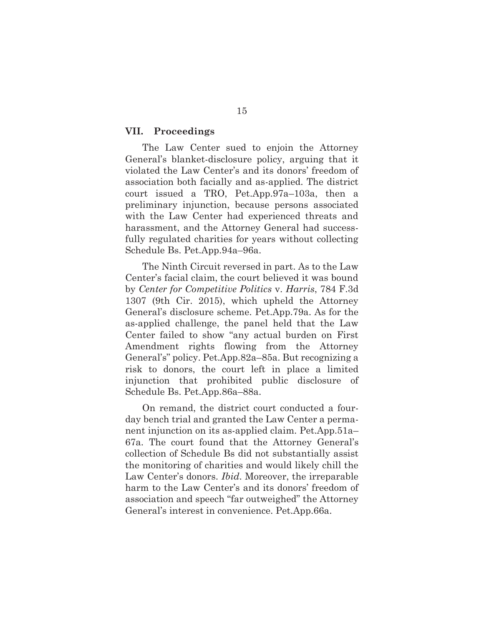#### **VII. Proceedings**

The Law Center sued to enjoin the Attorney General's blanket-disclosure policy, arguing that it violated the Law Center's and its donors' freedom of association both facially and as-applied. The district court issued a TRO, Pet.App.97a–103a, then a preliminary injunction, because persons associated with the Law Center had experienced threats and harassment, and the Attorney General had successfully regulated charities for years without collecting Schedule Bs. Pet.App.94a–96a.

The Ninth Circuit reversed in part. As to the Law Center's facial claim, the court believed it was bound by *Center for Competitive Politics* v. *Harris*, 784 F.3d 1307 (9th Cir. 2015), which upheld the Attorney General's disclosure scheme. Pet.App.79a. As for the as-applied challenge, the panel held that the Law Center failed to show "any actual burden on First Amendment rights flowing from the Attorney General's" policy. Pet.App.82a–85a. But recognizing a risk to donors, the court left in place a limited injunction that prohibited public disclosure of Schedule Bs. Pet.App.86a–88a.

On remand, the district court conducted a fourday bench trial and granted the Law Center a permanent injunction on its as-applied claim. Pet.App.51a– 67a. The court found that the Attorney General's collection of Schedule Bs did not substantially assist the monitoring of charities and would likely chill the Law Center's donors. *Ibid*. Moreover, the irreparable harm to the Law Center's and its donors' freedom of association and speech "far outweighed" the Attorney General's interest in convenience. Pet.App.66a.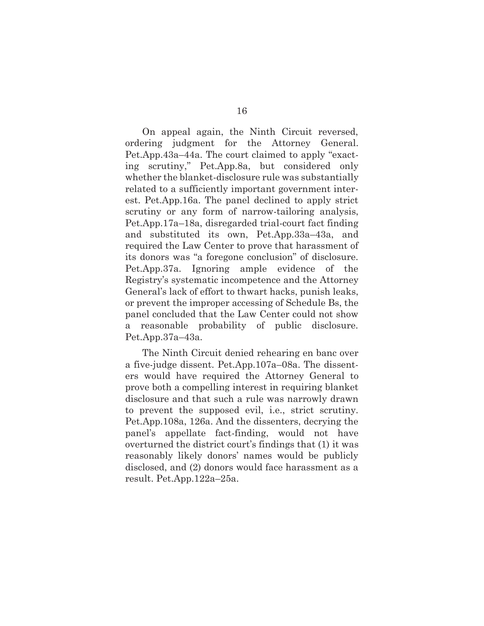On appeal again, the Ninth Circuit reversed, ordering judgment for the Attorney General. Pet.App.43a–44a. The court claimed to apply "exacting scrutiny," Pet.App.8a, but considered only whether the blanket-disclosure rule was substantially related to a sufficiently important government interest. Pet.App.16a. The panel declined to apply strict scrutiny or any form of narrow-tailoring analysis, Pet.App.17a–18a, disregarded trial-court fact finding and substituted its own, Pet.App.33a–43a, and required the Law Center to prove that harassment of its donors was "a foregone conclusion" of disclosure. Pet.App.37a. Ignoring ample evidence of the Registry's systematic incompetence and the Attorney General's lack of effort to thwart hacks, punish leaks, or prevent the improper accessing of Schedule Bs, the panel concluded that the Law Center could not show a reasonable probability of public disclosure. Pet.App.37a–43a.

The Ninth Circuit denied rehearing en banc over a five-judge dissent. Pet.App.107a–08a. The dissenters would have required the Attorney General to prove both a compelling interest in requiring blanket disclosure and that such a rule was narrowly drawn to prevent the supposed evil, i.e., strict scrutiny. Pet.App.108a, 126a. And the dissenters, decrying the panel's appellate fact-finding, would not have overturned the district court's findings that (1) it was reasonably likely donors' names would be publicly disclosed, and (2) donors would face harassment as a result. Pet.App.122a–25a.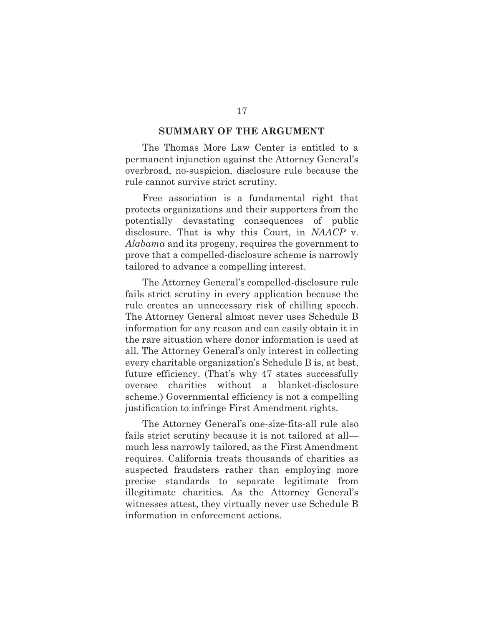#### **SUMMARY OF THE ARGUMENT**

The Thomas More Law Center is entitled to a permanent injunction against the Attorney General's overbroad, no-suspicion, disclosure rule because the rule cannot survive strict scrutiny.

Free association is a fundamental right that protects organizations and their supporters from the potentially devastating consequences of public disclosure. That is why this Court, in *NAACP* v. *Alabama* and its progeny, requires the government to prove that a compelled-disclosure scheme is narrowly tailored to advance a compelling interest.

The Attorney General's compelled-disclosure rule fails strict scrutiny in every application because the rule creates an unnecessary risk of chilling speech. The Attorney General almost never uses Schedule B information for any reason and can easily obtain it in the rare situation where donor information is used at all. The Attorney General's only interest in collecting every charitable organization's Schedule B is, at best, future efficiency. (That's why 47 states successfully oversee charities without a blanket-disclosure scheme.) Governmental efficiency is not a compelling justification to infringe First Amendment rights.

The Attorney General's one-size-fits-all rule also fails strict scrutiny because it is not tailored at all much less narrowly tailored, as the First Amendment requires. California treats thousands of charities as suspected fraudsters rather than employing more precise standards to separate legitimate from illegitimate charities. As the Attorney General's witnesses attest, they virtually never use Schedule B information in enforcement actions.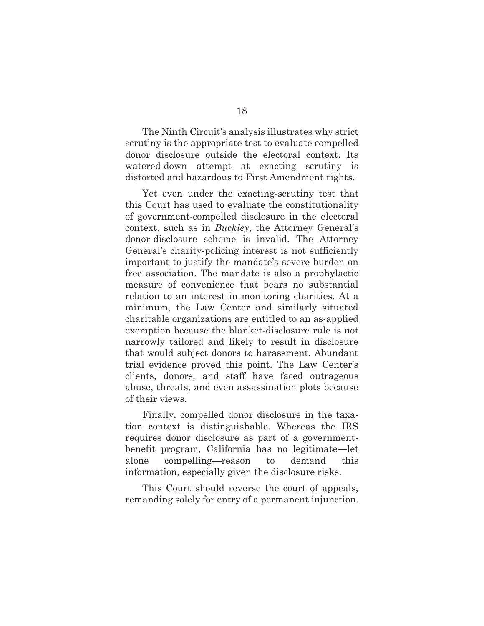The Ninth Circuit's analysis illustrates why strict scrutiny is the appropriate test to evaluate compelled donor disclosure outside the electoral context. Its watered-down attempt at exacting scrutiny is distorted and hazardous to First Amendment rights.

Yet even under the exacting-scrutiny test that this Court has used to evaluate the constitutionality of government-compelled disclosure in the electoral context, such as in *Buckley*, the Attorney General's donor-disclosure scheme is invalid. The Attorney General's charity-policing interest is not sufficiently important to justify the mandate's severe burden on free association. The mandate is also a prophylactic measure of convenience that bears no substantial relation to an interest in monitoring charities. At a minimum, the Law Center and similarly situated charitable organizations are entitled to an as-applied exemption because the blanket-disclosure rule is not narrowly tailored and likely to result in disclosure that would subject donors to harassment. Abundant trial evidence proved this point. The Law Center's clients, donors, and staff have faced outrageous abuse, threats, and even assassination plots because of their views.

Finally, compelled donor disclosure in the taxation context is distinguishable. Whereas the IRS requires donor disclosure as part of a governmentbenefit program, California has no legitimate—let alone compelling—reason to demand this information, especially given the disclosure risks.

This Court should reverse the court of appeals, remanding solely for entry of a permanent injunction.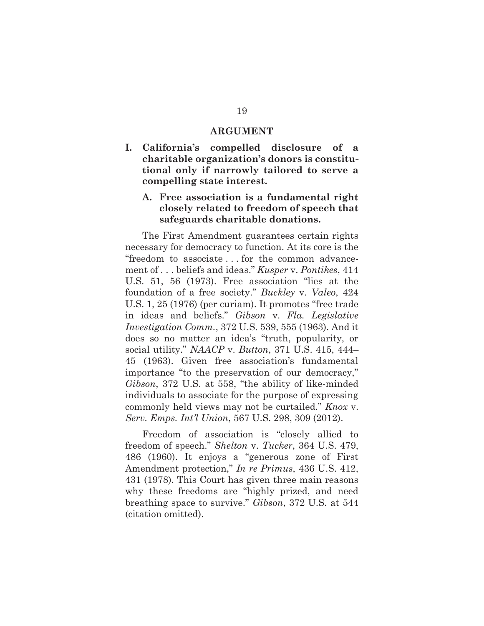#### **ARGUMENT**

**I. California's compelled disclosure of a charitable organization's donors is constitutional only if narrowly tailored to serve a compelling state interest.** 

## **A. Free association is a fundamental right closely related to freedom of speech that safeguards charitable donations.**

The First Amendment guarantees certain rights necessary for democracy to function. At its core is the "freedom to associate . . . for the common advancement of . . . beliefs and ideas." *Kusper* v. *Pontikes*, 414 U.S. 51, 56 (1973). Free association "lies at the foundation of a free society." *Buckley* v. *Valeo*, 424 U.S. 1, 25 (1976) (per curiam). It promotes "free trade in ideas and beliefs." *Gibson* v. *Fla. Legislative Investigation Comm.*, 372 U.S. 539, 555 (1963). And it does so no matter an idea's "truth, popularity, or social utility." *NAACP* v. *Button*, 371 U.S. 415, 444– 45 (1963). Given free association's fundamental importance "to the preservation of our democracy," *Gibson*, 372 U.S. at 558, "the ability of like-minded individuals to associate for the purpose of expressing commonly held views may not be curtailed." *Knox* v. *Serv. Emps. Int'l Union*, 567 U.S. 298, 309 (2012).

Freedom of association is "closely allied to freedom of speech." *Shelton* v. *Tucker*, 364 U.S. 479, 486 (1960). It enjoys a "generous zone of First Amendment protection," *In re Primus*, 436 U.S. 412, 431 (1978). This Court has given three main reasons why these freedoms are "highly prized, and need breathing space to survive." *Gibson*, 372 U.S. at 544 (citation omitted).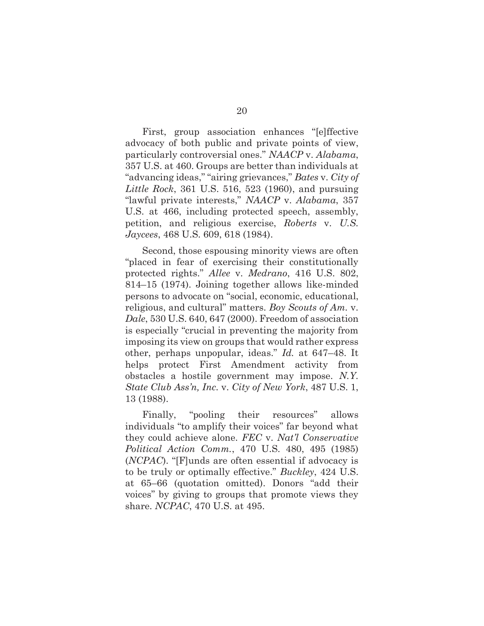First, group association enhances "[e]ffective advocacy of both public and private points of view, particularly controversial ones." *NAACP* v. *Alabama*, 357 U.S. at 460. Groups are better than individuals at "advancing ideas," "airing grievances," *Bates* v. *City of Little Rock*, 361 U.S. 516, 523 (1960), and pursuing "lawful private interests," *NAACP* v. *Alabama*, 357 U.S. at 466, including protected speech, assembly, petition, and religious exercise, *Roberts* v. *U.S. Jaycees*, 468 U.S. 609, 618 (1984).

Second, those espousing minority views are often "placed in fear of exercising their constitutionally protected rights." *Allee* v. *Medrano*, 416 U.S. 802, 814–15 (1974). Joining together allows like-minded persons to advocate on "social, economic, educational, religious, and cultural" matters. *Boy Scouts of Am.* v. *Dale*, 530 U.S. 640, 647 (2000). Freedom of association is especially "crucial in preventing the majority from imposing its view on groups that would rather express other, perhaps unpopular, ideas." *Id.* at 647–48. It helps protect First Amendment activity from obstacles a hostile government may impose. *N.Y. State Club Ass'n, Inc.* v. *City of New York*, 487 U.S. 1, 13 (1988).

Finally, "pooling their resources" allows individuals "to amplify their voices" far beyond what they could achieve alone. *FEC* v. *Nat'l Conservative Political Action Comm.*, 470 U.S. 480, 495 (1985) (*NCPAC*). "[F]unds are often essential if advocacy is to be truly or optimally effective." *Buckley*, 424 U.S. at 65–66 (quotation omitted). Donors "add their voices" by giving to groups that promote views they share. *NCPAC*, 470 U.S. at 495.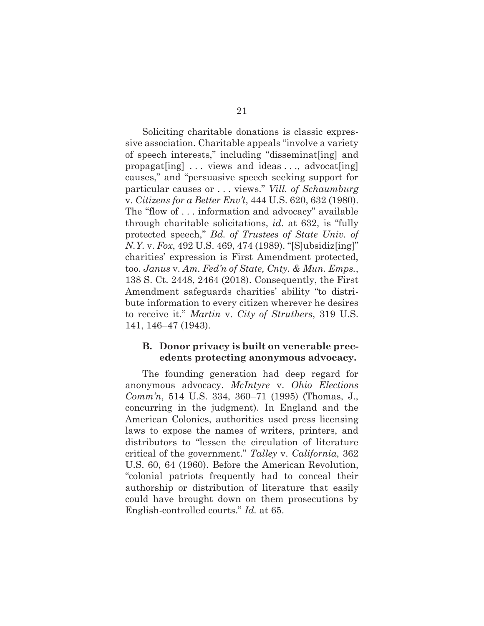Soliciting charitable donations is classic expressive association. Charitable appeals "involve a variety of speech interests," including "disseminat[ing] and propagat[ing] ... views and ideas ..., advocat[ing] causes," and "persuasive speech seeking support for particular causes or . . . views." *Vill. of Schaumburg*  v. *Citizens for a Better Env't*, 444 U.S. 620, 632 (1980). The "flow of . . . information and advocacy" available through charitable solicitations, *id*. at 632, is "fully protected speech," *Bd. of Trustees of State Univ. of N.Y.* v. *Fox*, 492 U.S. 469, 474 (1989). "[S]ubsidiz[ing]" charities' expression is First Amendment protected, too. *Janus* v. *Am. Fed'n of State, Cnty. & Mun. Emps.*, 138 S. Ct. 2448, 2464 (2018). Consequently, the First Amendment safeguards charities' ability "to distribute information to every citizen wherever he desires to receive it." *Martin* v. *City of Struthers*, 319 U.S. 141, 146–47 (1943).

#### **B. Donor privacy is built on venerable precedents protecting anonymous advocacy.**

The founding generation had deep regard for anonymous advocacy. *McIntyre* v. *Ohio Elections Comm'n*, 514 U.S. 334, 360–71 (1995) (Thomas, J., concurring in the judgment). In England and the American Colonies, authorities used press licensing laws to expose the names of writers, printers, and distributors to "lessen the circulation of literature critical of the government." *Talley* v. *California*, 362 U.S. 60, 64 (1960). Before the American Revolution, "colonial patriots frequently had to conceal their authorship or distribution of literature that easily could have brought down on them prosecutions by English-controlled courts." *Id.* at 65.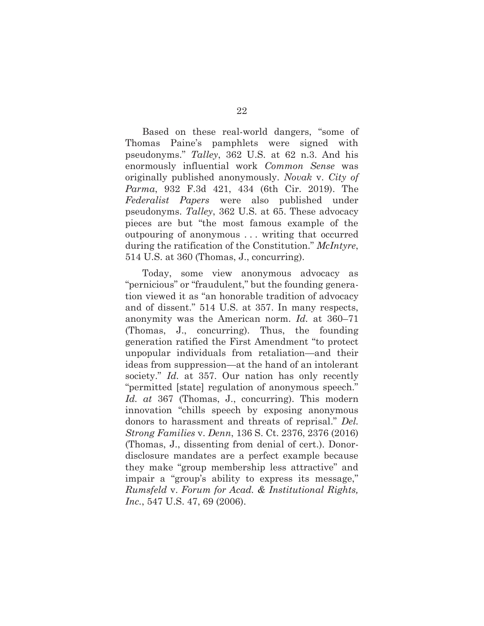Based on these real-world dangers, "some of Thomas Paine's pamphlets were signed with pseudonyms." *Talley*, 362 U.S. at 62 n.3. And his enormously influential work *Common Sense* was originally published anonymously. *Novak* v. *City of Parma*, 932 F.3d 421, 434 (6th Cir. 2019). The *Federalist Papers* were also published under pseudonyms. *Talley*, 362 U.S. at 65. These advocacy pieces are but "the most famous example of the outpouring of anonymous . . . writing that occurred during the ratification of the Constitution." *McIntyre*, 514 U.S. at 360 (Thomas, J., concurring).

Today, some view anonymous advocacy as "pernicious" or "fraudulent," but the founding generation viewed it as "an honorable tradition of advocacy and of dissent." 514 U.S. at 357. In many respects, anonymity was the American norm. *Id.* at 360–71 (Thomas, J., concurring). Thus, the founding generation ratified the First Amendment "to protect unpopular individuals from retaliation—and their ideas from suppression—at the hand of an intolerant society." *Id.* at 357. Our nation has only recently "permitted [state] regulation of anonymous speech." *Id. at* 367 (Thomas, J., concurring). This modern innovation "chills speech by exposing anonymous donors to harassment and threats of reprisal." *Del. Strong Families* v. *Denn*, 136 S. Ct. 2376, 2376 (2016) (Thomas, J., dissenting from denial of cert.). Donordisclosure mandates are a perfect example because they make "group membership less attractive" and impair a "group's ability to express its message," *Rumsfeld* v. *Forum for Acad. & Institutional Rights, Inc.*, 547 U.S. 47, 69 (2006).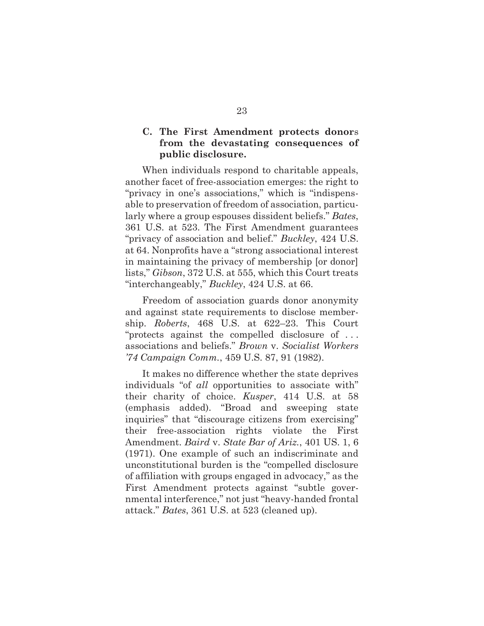## **C. The First Amendment protects donor**s **from the devastating consequences of public disclosure.**

When individuals respond to charitable appeals, another facet of free-association emerges: the right to "privacy in one's associations," which is "indispensable to preservation of freedom of association, particularly where a group espouses dissident beliefs." *Bates*, 361 U.S. at 523. The First Amendment guarantees "privacy of association and belief." *Buckley*, 424 U.S. at 64. Nonprofits have a "strong associational interest in maintaining the privacy of membership [or donor] lists," *Gibson*, 372 U.S. at 555, which this Court treats "interchangeably," *Buckley*, 424 U.S. at 66.

Freedom of association guards donor anonymity and against state requirements to disclose membership. *Roberts*, 468 U.S. at 622–23. This Court "protects against the compelled disclosure of . . . associations and beliefs." *Brown* v. *Socialist Workers '74 Campaign Comm.*, 459 U.S. 87, 91 (1982).

It makes no difference whether the state deprives individuals "of *all* opportunities to associate with" their charity of choice. *Kusper*, 414 U.S. at 58 (emphasis added). "Broad and sweeping state inquiries" that "discourage citizens from exercising" their free-association rights violate the First Amendment. *Baird* v. *State Bar of Ariz.*, 401 US. 1, 6 (1971). One example of such an indiscriminate and unconstitutional burden is the "compelled disclosure of affiliation with groups engaged in advocacy," as the First Amendment protects against "subtle governmental interference," not just "heavy-handed frontal attack." *Bates*, 361 U.S. at 523 (cleaned up).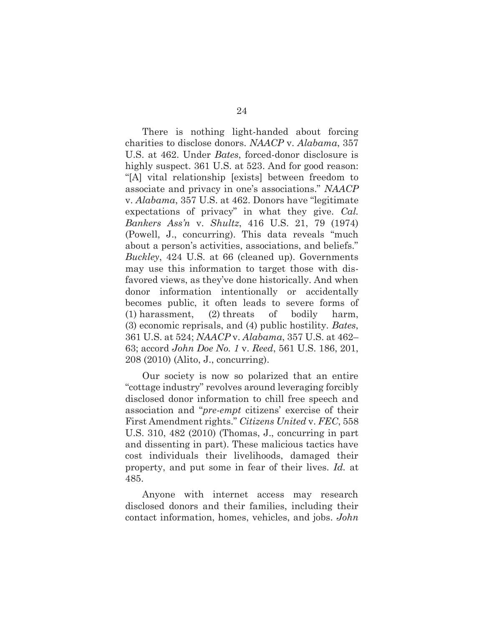There is nothing light-handed about forcing charities to disclose donors. *NAACP* v. *Alabama*, 357 U.S. at 462. Under *Bates*, forced-donor disclosure is highly suspect. 361 U.S. at 523. And for good reason: "[A] vital relationship [exists] between freedom to associate and privacy in one's associations." *NAACP*  v. *Alabama*, 357 U.S. at 462. Donors have "legitimate expectations of privacy" in what they give. *Cal. Bankers Ass'n* v. *Shultz*, 416 U.S. 21, 79 (1974) (Powell, J., concurring). This data reveals "much about a person's activities, associations, and beliefs." *Buckley*, 424 U.S. at 66 (cleaned up). Governments may use this information to target those with disfavored views, as they've done historically. And when donor information intentionally or accidentally becomes public, it often leads to severe forms of (1) harassment, (2) threats of bodily harm, (3) economic reprisals, and (4) public hostility. *Bates*, 361 U.S. at 524; *NAACP* v. *Alabama*, 357 U.S. at 462– 63; accord *John Doe No. 1* v. *Reed*, 561 U.S. 186, 201, 208 (2010) (Alito, J., concurring).

Our society is now so polarized that an entire "cottage industry" revolves around leveraging forcibly disclosed donor information to chill free speech and association and "*pre-empt* citizens' exercise of their First Amendment rights." *Citizens United* v. *FEC*, 558 U.S. 310, 482 (2010) (Thomas, J., concurring in part and dissenting in part). These malicious tactics have cost individuals their livelihoods, damaged their property, and put some in fear of their lives. *Id.* at 485.

Anyone with internet access may research disclosed donors and their families, including their contact information, homes, vehicles, and jobs. *John*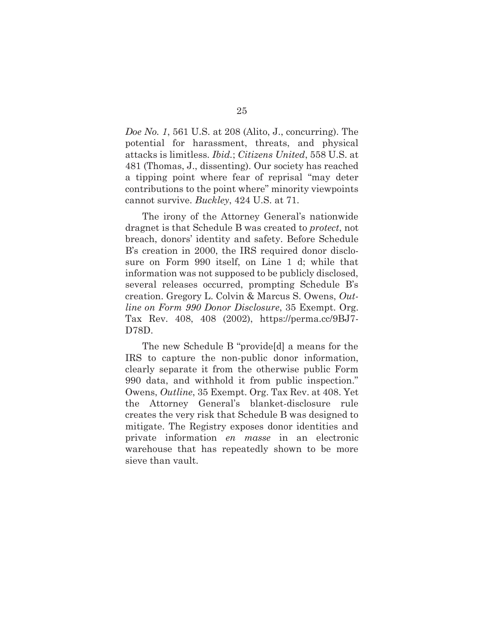*Doe No. 1*, 561 U.S. at 208 (Alito, J., concurring). The potential for harassment, threats, and physical attacks is limitless. *Ibid.*; *Citizens United*, 558 U.S. at 481 (Thomas, J., dissenting). Our society has reached a tipping point where fear of reprisal "may deter contributions to the point where" minority viewpoints cannot survive. *Buckley*, 424 U.S. at 71.

The irony of the Attorney General's nationwide dragnet is that Schedule B was created to *protect*, not breach, donors' identity and safety. Before Schedule B's creation in 2000, the IRS required donor disclosure on Form 990 itself, on Line 1 d; while that information was not supposed to be publicly disclosed, several releases occurred, prompting Schedule B's creation. Gregory L. Colvin & Marcus S. Owens, *Outline on Form 990 Donor Disclosure*, 35 Exempt. Org. Tax Rev. 408, 408 (2002), https://perma.cc/9BJ7- D78D.

The new Schedule B "provide[d] a means for the IRS to capture the non-public donor information, clearly separate it from the otherwise public Form 990 data, and withhold it from public inspection." Owens, *Outline*, 35 Exempt. Org. Tax Rev. at 408. Yet the Attorney General's blanket-disclosure rule creates the very risk that Schedule B was designed to mitigate. The Registry exposes donor identities and private information *en masse* in an electronic warehouse that has repeatedly shown to be more sieve than vault.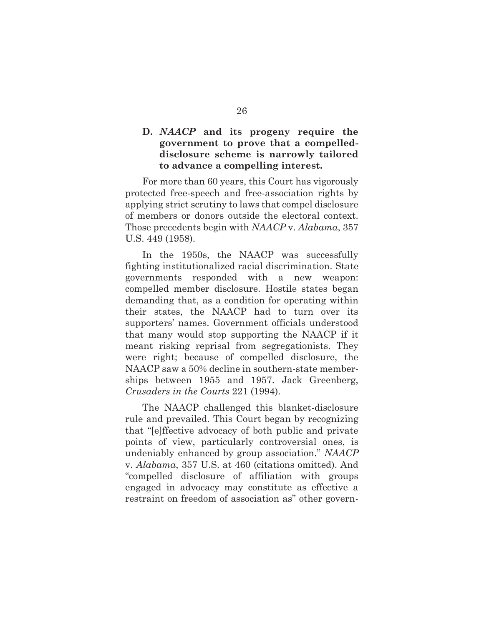#### **D.** *NAACP* **and its progeny require the government to prove that a compelleddisclosure scheme is narrowly tailored to advance a compelling interest.**

For more than 60 years, this Court has vigorously protected free-speech and free-association rights by applying strict scrutiny to laws that compel disclosure of members or donors outside the electoral context. Those precedents begin with *NAACP* v. *Alabama*, 357 U.S. 449 (1958).

In the 1950s, the NAACP was successfully fighting institutionalized racial discrimination. State governments responded with a new weapon: compelled member disclosure. Hostile states began demanding that, as a condition for operating within their states, the NAACP had to turn over its supporters' names. Government officials understood that many would stop supporting the NAACP if it meant risking reprisal from segregationists. They were right; because of compelled disclosure, the NAACP saw a 50% decline in southern-state memberships between 1955 and 1957. Jack Greenberg, *Crusaders in the Courts* 221 (1994).

The NAACP challenged this blanket-disclosure rule and prevailed. This Court began by recognizing that "[e]ffective advocacy of both public and private points of view, particularly controversial ones, is undeniably enhanced by group association." *NAACP*  v. *Alabama*, 357 U.S. at 460 (citations omitted). And "compelled disclosure of affiliation with groups engaged in advocacy may constitute as effective a restraint on freedom of association as" other govern-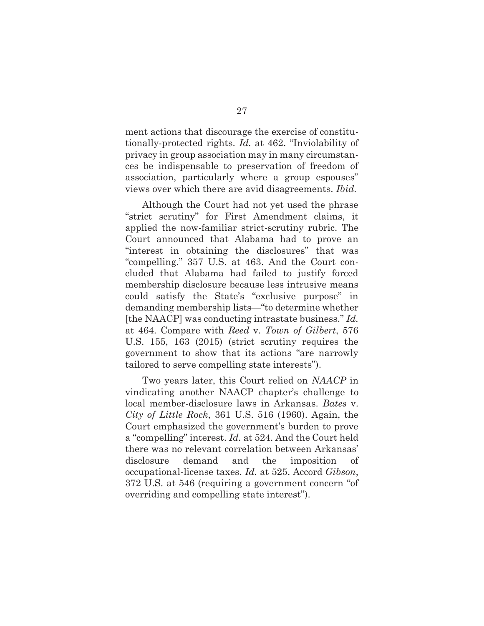ment actions that discourage the exercise of constitutionally-protected rights. *Id.* at 462. "Inviolability of privacy in group association may in many circumstances be indispensable to preservation of freedom of association, particularly where a group espouses" views over which there are avid disagreements. *Ibid.*

Although the Court had not yet used the phrase "strict scrutiny" for First Amendment claims, it applied the now-familiar strict-scrutiny rubric. The Court announced that Alabama had to prove an "interest in obtaining the disclosures" that was "compelling." 357 U.S. at 463. And the Court concluded that Alabama had failed to justify forced membership disclosure because less intrusive means could satisfy the State's "exclusive purpose" in demanding membership lists—"to determine whether [the NAACP] was conducting intrastate business." *Id.* at 464. Compare with *Reed* v. *Town of Gilbert*, 576 U.S. 155, 163 (2015) (strict scrutiny requires the government to show that its actions "are narrowly tailored to serve compelling state interests").

Two years later, this Court relied on *NAACP* in vindicating another NAACP chapter's challenge to local member-disclosure laws in Arkansas. *Bates* v. *City of Little Rock*, 361 U.S. 516 (1960). Again, the Court emphasized the government's burden to prove a "compelling" interest. *Id.* at 524. And the Court held there was no relevant correlation between Arkansas' disclosure demand and the imposition of occupational-license taxes. *Id.* at 525. Accord *Gibson*, 372 U.S. at 546 (requiring a government concern "of overriding and compelling state interest").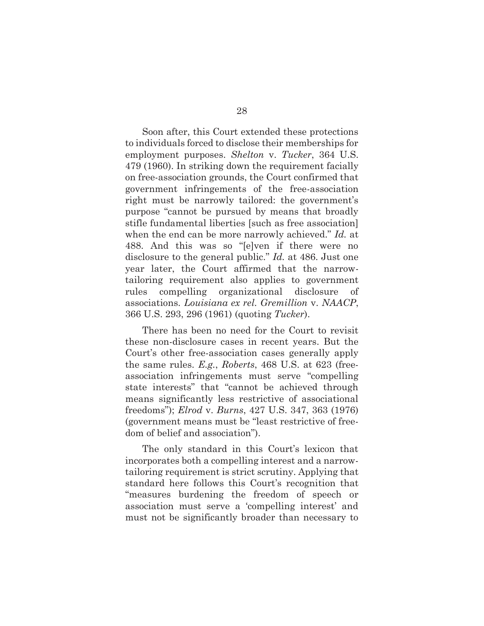Soon after, this Court extended these protections to individuals forced to disclose their memberships for employment purposes. *Shelton* v. *Tucker*, 364 U.S. 479 (1960). In striking down the requirement facially on free-association grounds, the Court confirmed that government infringements of the free-association right must be narrowly tailored: the government's purpose "cannot be pursued by means that broadly stifle fundamental liberties [such as free association] when the end can be more narrowly achieved." *Id.* at 488. And this was so "[e]ven if there were no disclosure to the general public." *Id.* at 486. Just one year later, the Court affirmed that the narrowtailoring requirement also applies to government rules compelling organizational disclosure of associations. *Louisiana ex rel. Gremillion* v. *NAACP*, 366 U.S. 293, 296 (1961) (quoting *Tucker*).

There has been no need for the Court to revisit these non-disclosure cases in recent years. But the Court's other free-association cases generally apply the same rules. *E.g.*, *Roberts*, 468 U.S. at 623 (freeassociation infringements must serve "compelling state interests" that "cannot be achieved through means significantly less restrictive of associational freedoms"); *Elrod* v. *Burns*, 427 U.S. 347, 363 (1976) (government means must be "least restrictive of freedom of belief and association").

The only standard in this Court's lexicon that incorporates both a compelling interest and a narrowtailoring requirement is strict scrutiny. Applying that standard here follows this Court's recognition that "measures burdening the freedom of speech or association must serve a 'compelling interest' and must not be significantly broader than necessary to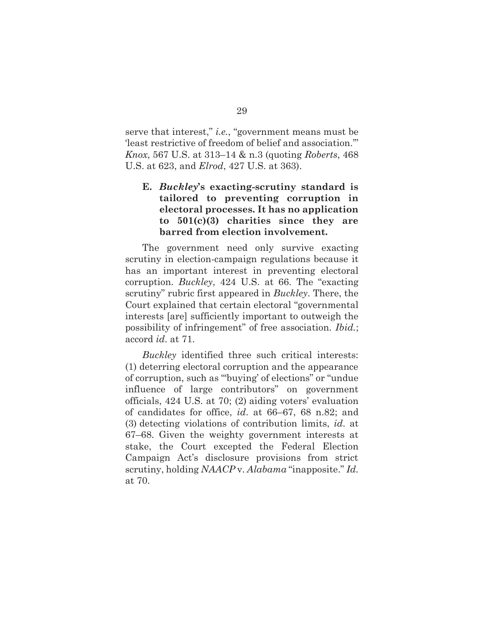serve that interest," *i.e.*, "government means must be 'least restrictive of freedom of belief and association.'" *Knox*, 567 U.S. at 313–14 & n.3 (quoting *Roberts*, 468 U.S. at 623, and *Elrod*, 427 U.S. at 363).

## **E.** *Buckley***'s exacting-scrutiny standard is tailored to preventing corruption in electoral processes. It has no application to 501(c)(3) charities since they are barred from election involvement.**

The government need only survive exacting scrutiny in election-campaign regulations because it has an important interest in preventing electoral corruption. *Buckley*, 424 U.S. at 66. The "exacting scrutiny" rubric first appeared in *Buckley*. There, the Court explained that certain electoral "governmental interests [are] sufficiently important to outweigh the possibility of infringement" of free association. *Ibid.*; accord *id*. at 71.

*Buckley* identified three such critical interests: (1) deterring electoral corruption and the appearance of corruption, such as "'buying' of elections" or "undue influence of large contributors" on government officials, 424 U.S. at 70; (2) aiding voters' evaluation of candidates for office, *id*. at 66–67, 68 n.82; and (3) detecting violations of contribution limits, *id*. at 67–68. Given the weighty government interests at stake, the Court excepted the Federal Election Campaign Act's disclosure provisions from strict scrutiny, holding *NAACP* v. *Alabama* "inapposite." *Id.* at 70.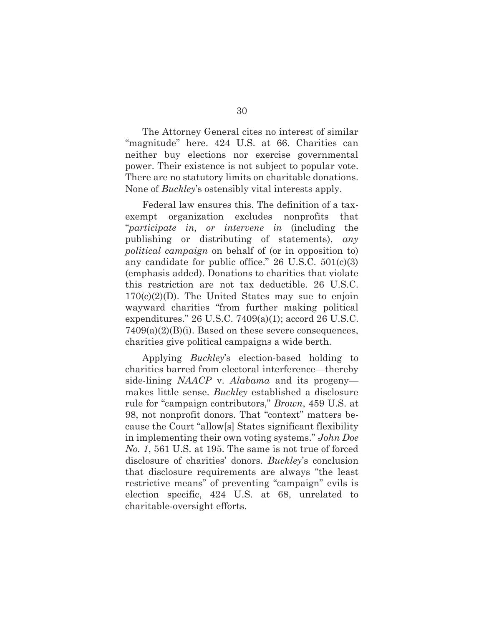The Attorney General cites no interest of similar "magnitude" here. 424 U.S. at 66. Charities can neither buy elections nor exercise governmental power. Their existence is not subject to popular vote. There are no statutory limits on charitable donations. None of *Buckley*'s ostensibly vital interests apply.

Federal law ensures this. The definition of a taxexempt organization excludes nonprofits that "*participate in, or intervene in* (including the publishing or distributing of statements), *any political campaign* on behalf of (or in opposition to) any candidate for public office." 26 U.S.C. 501(c)(3) (emphasis added). Donations to charities that violate this restriction are not tax deductible. 26 U.S.C.  $170(c)(2)(D)$ . The United States may sue to enjoin wayward charities "from further making political expenditures." 26 U.S.C. 7409(a)(1); accord 26 U.S.C.  $7409(a)(2)(B)(i)$ . Based on these severe consequences, charities give political campaigns a wide berth.

Applying *Buckley*'s election-based holding to charities barred from electoral interference—thereby side-lining *NAACP* v. *Alabama* and its progeny makes little sense. *Buckley* established a disclosure rule for "campaign contributors," *Brown*, 459 U.S. at 98, not nonprofit donors. That "context" matters because the Court "allow[s] States significant flexibility in implementing their own voting systems." *John Doe No. 1*, 561 U.S. at 195. The same is not true of forced disclosure of charities' donors. *Buckley*'s conclusion that disclosure requirements are always "the least restrictive means" of preventing "campaign" evils is election specific, 424 U.S. at 68, unrelated to charitable-oversight efforts.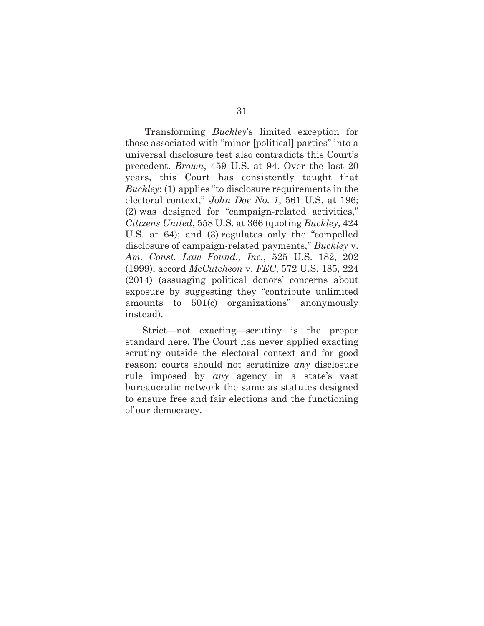Transforming *Buckley*'s limited exception for those associated with "minor [political] parties" into a universal disclosure test also contradicts this Court's precedent. *Brown*, 459 U.S. at 94. Over the last 20 years, this Court has consistently taught that *Buckley*: (1) applies "to disclosure requirements in the electoral context," *John Doe No. 1*, 561 U.S. at 196; (2) was designed for "campaign-related activities," *Citizens United*, 558 U.S. at 366 (quoting *Buckley*, 424 U.S. at 64); and (3) regulates only the "compelled disclosure of campaign-related payments," *Buckley* v. *Am. Const. Law Found., Inc.*, 525 U.S. 182, 202 (1999); accord *McCutcheon* v. *FEC*, 572 U.S. 185, 224 (2014) (assuaging political donors' concerns about exposure by suggesting they "contribute unlimited amounts to 501(c) organizations" anonymously instead).

Strict—not exacting—scrutiny is the proper standard here. The Court has never applied exacting scrutiny outside the electoral context and for good reason: courts should not scrutinize *any* disclosure rule imposed by *any* agency in a state's vast bureaucratic network the same as statutes designed to ensure free and fair elections and the functioning of our democracy.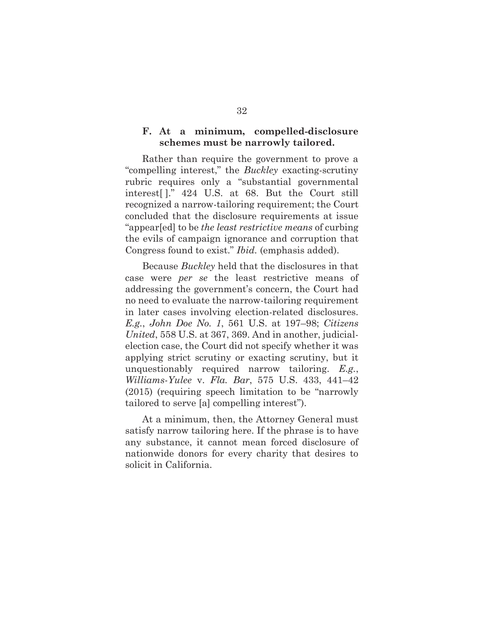#### **F. At a minimum, compelled-disclosure schemes must be narrowly tailored.**

Rather than require the government to prove a "compelling interest," the *Buckley* exacting-scrutiny rubric requires only a "substantial governmental interest[ ]." 424 U.S. at 68. But the Court still recognized a narrow-tailoring requirement; the Court concluded that the disclosure requirements at issue "appear[ed] to be *the least restrictive means* of curbing the evils of campaign ignorance and corruption that Congress found to exist." *Ibid.* (emphasis added).

Because *Buckley* held that the disclosures in that case were *per se* the least restrictive means of addressing the government's concern, the Court had no need to evaluate the narrow-tailoring requirement in later cases involving election-related disclosures. *E.g.*, *John Doe No. 1*, 561 U.S. at 197–98; *Citizens United*, 558 U.S. at 367, 369. And in another, judicialelection case, the Court did not specify whether it was applying strict scrutiny or exacting scrutiny, but it unquestionably required narrow tailoring. *E.g.*, *Williams-Yulee* v. *Fla. Bar*, 575 U.S. 433, 441–42 (2015) (requiring speech limitation to be "narrowly tailored to serve [a] compelling interest").

At a minimum, then, the Attorney General must satisfy narrow tailoring here. If the phrase is to have any substance, it cannot mean forced disclosure of nationwide donors for every charity that desires to solicit in California.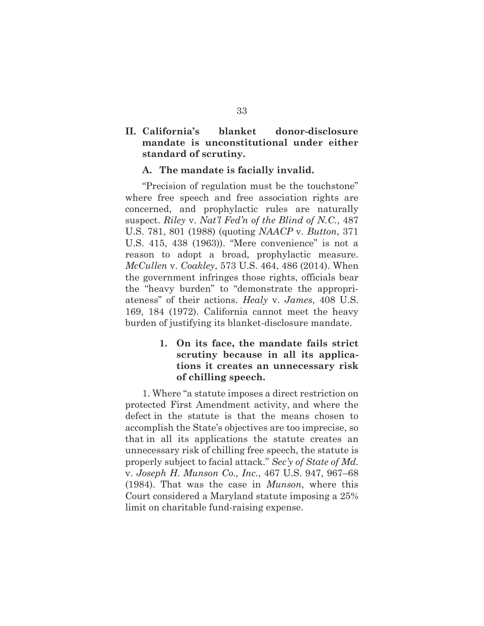## **II. California's blanket donor-disclosure mandate is unconstitutional under either standard of scrutiny.**

#### **A. The mandate is facially invalid.**

"Precision of regulation must be the touchstone" where free speech and free association rights are concerned, and prophylactic rules are naturally suspect. *Riley* v. *Nat'l Fed'n of the Blind of N.C.*, 487 U.S. 781, 801 (1988) (quoting *NAACP* v. *Button*, 371 U.S. 415, 438 (1963)). "Mere convenience" is not a reason to adopt a broad, prophylactic measure. *McCullen* v. *Coakley*, 573 U.S. 464, 486 (2014). When the government infringes those rights, officials bear the "heavy burden" to "demonstrate the appropriateness" of their actions. *Healy* v. *James*, 408 U.S. 169, 184 (1972). California cannot meet the heavy burden of justifying its blanket-disclosure mandate.

## **1. On its face, the mandate fails strict scrutiny because in all its applications it creates an unnecessary risk of chilling speech.**

1. Where "a statute imposes a direct restriction on protected First Amendment activity, and where the defect in the statute is that the means chosen to accomplish the State's objectives are too imprecise, so that in all its applications the statute creates an unnecessary risk of chilling free speech, the statute is properly subject to facial attack." *Sec'y of State of Md.*  v. *Joseph H. Munson Co., Inc.*, 467 U.S. 947, 967–68 (1984). That was the case in *Munson*, where this Court considered a Maryland statute imposing a 25% limit on charitable fund-raising expense.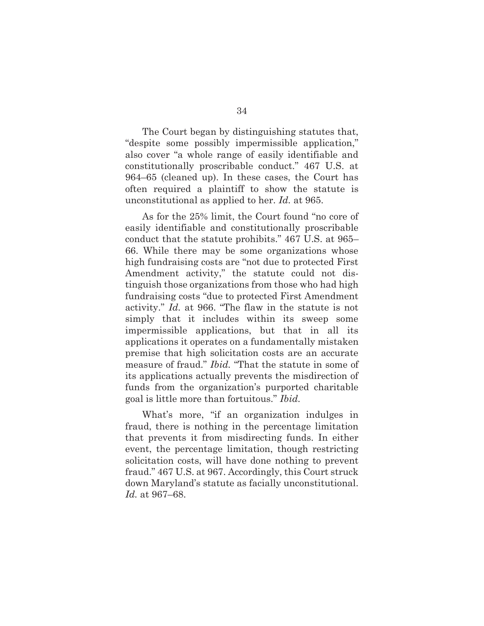The Court began by distinguishing statutes that, "despite some possibly impermissible application," also cover "a whole range of easily identifiable and constitutionally proscribable conduct." 467 U.S. at 964–65 (cleaned up). In these cases, the Court has often required a plaintiff to show the statute is unconstitutional as applied to her. *Id.* at 965.

As for the 25% limit, the Court found "no core of easily identifiable and constitutionally proscribable conduct that the statute prohibits." 467 U.S. at 965– 66. While there may be some organizations whose high fundraising costs are "not due to protected First Amendment activity," the statute could not distinguish those organizations from those who had high fundraising costs "due to protected First Amendment activity." *Id.* at 966. "The flaw in the statute is not simply that it includes within its sweep some impermissible applications, but that in all its applications it operates on a fundamentally mistaken premise that high solicitation costs are an accurate measure of fraud." *Ibid.* "That the statute in some of its applications actually prevents the misdirection of funds from the organization's purported charitable goal is little more than fortuitous." *Ibid.*

What's more, "if an organization indulges in fraud, there is nothing in the percentage limitation that prevents it from misdirecting funds. In either event, the percentage limitation, though restricting solicitation costs, will have done nothing to prevent fraud." 467 U.S. at 967. Accordingly, this Court struck down Maryland's statute as facially unconstitutional. *Id.* at 967–68.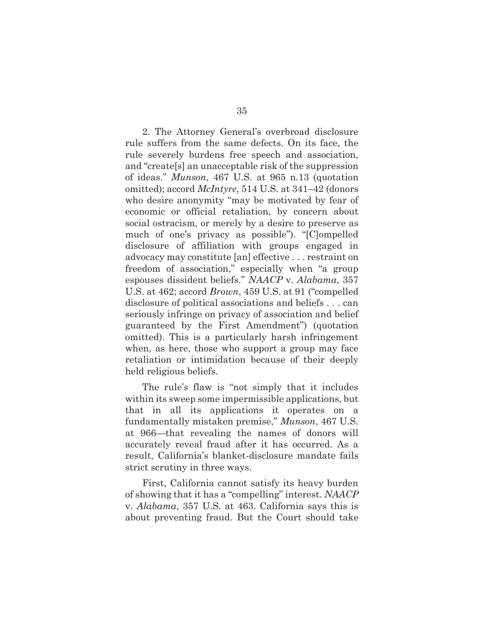2. The Attorney General's overbroad disclosure rule suffers from the same defects. On its face, the rule severely burdens free speech and association, and "create[s] an unacceptable risk of the suppression of ideas." *Munson*, 467 U.S. at 965 n.13 (quotation omitted); accord *McIntyre*, 514 U.S. at 341–42 (donors who desire anonymity "may be motivated by fear of economic or official retaliation, by concern about social ostracism, or merely by a desire to preserve as much of one's privacy as possible"). "[C]ompelled disclosure of affiliation with groups engaged in advocacy may constitute [an] effective . . . restraint on freedom of association," especially when "a group espouses dissident beliefs." *NAACP* v. *Alabama*, 357 U.S. at 462; accord *Brown*, 459 U.S. at 91 ("compelled disclosure of political associations and beliefs . . . can seriously infringe on privacy of association and belief guaranteed by the First Amendment") (quotation omitted). This is a particularly harsh infringement when, as here, those who support a group may face retaliation or intimidation because of their deeply held religious beliefs.

The rule's flaw is "not simply that it includes within its sweep some impermissible applications, but that in all its applications it operates on a fundamentally mistaken premise," *Munson*, 467 U.S. at 966—that revealing the names of donors will accurately reveal fraud after it has occurred. As a result, California's blanket-disclosure mandate fails strict scrutiny in three ways.

First, California cannot satisfy its heavy burden of showing that it has a "compelling" interest. *NAACP*  v. *Alabama*, 357 U.S. at 463. California says this is about preventing fraud. But the Court should take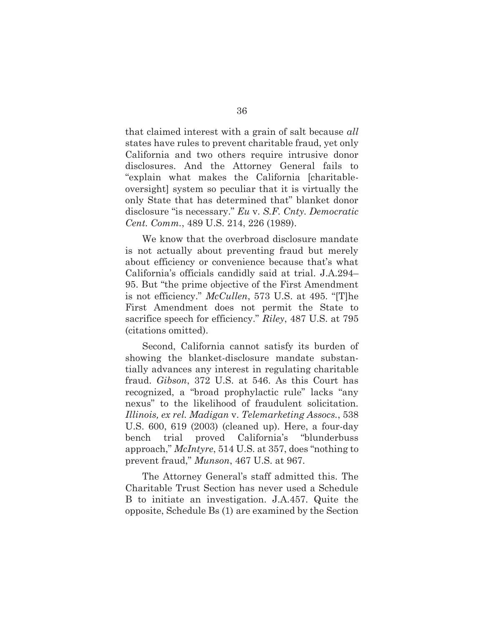that claimed interest with a grain of salt because *all* states have rules to prevent charitable fraud, yet only California and two others require intrusive donor disclosures. And the Attorney General fails to "explain what makes the California [charitableoversight] system so peculiar that it is virtually the only State that has determined that" blanket donor disclosure "is necessary." *Eu* v. *S.F. Cnty. Democratic Cent. Comm.*, 489 U.S. 214, 226 (1989).

We know that the overbroad disclosure mandate is not actually about preventing fraud but merely about efficiency or convenience because that's what California's officials candidly said at trial. J.A.294– 95. But "the prime objective of the First Amendment is not efficiency." *McCullen*, 573 U.S. at 495. "[T]he First Amendment does not permit the State to sacrifice speech for efficiency." *Riley*, 487 U.S. at 795 (citations omitted).

Second, California cannot satisfy its burden of showing the blanket-disclosure mandate substantially advances any interest in regulating charitable fraud. *Gibson*, 372 U.S. at 546. As this Court has recognized, a "broad prophylactic rule" lacks "any nexus" to the likelihood of fraudulent solicitation. *Illinois, ex rel. Madigan* v. *Telemarketing Assocs.*, 538 U.S. 600, 619 (2003) (cleaned up). Here, a four-day bench trial proved California's "blunderbuss approach," *McIntyre*, 514 U.S. at 357, does "nothing to prevent fraud," *Munson*, 467 U.S. at 967.

The Attorney General's staff admitted this. The Charitable Trust Section has never used a Schedule B to initiate an investigation. J.A.457. Quite the opposite, Schedule Bs (1) are examined by the Section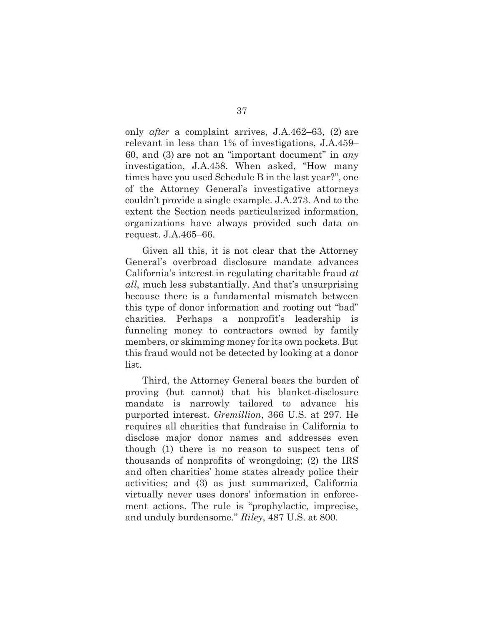only *after* a complaint arrives, J.A.462–63, (2) are relevant in less than 1% of investigations, J.A.459– 60, and (3) are not an "important document" in *any* investigation, J.A.458. When asked, "How many times have you used Schedule B in the last year?", one of the Attorney General's investigative attorneys couldn't provide a single example. J.A.273. And to the extent the Section needs particularized information, organizations have always provided such data on request. J.A.465–66.

Given all this, it is not clear that the Attorney General's overbroad disclosure mandate advances California's interest in regulating charitable fraud *at all*, much less substantially. And that's unsurprising because there is a fundamental mismatch between this type of donor information and rooting out "bad" charities. Perhaps a nonprofit's leadership is funneling money to contractors owned by family members, or skimming money for its own pockets. But this fraud would not be detected by looking at a donor list.

Third, the Attorney General bears the burden of proving (but cannot) that his blanket-disclosure mandate is narrowly tailored to advance his purported interest. *Gremillion*, 366 U.S. at 297. He requires all charities that fundraise in California to disclose major donor names and addresses even though (1) there is no reason to suspect tens of thousands of nonprofits of wrongdoing; (2) the IRS and often charities' home states already police their activities; and (3) as just summarized, California virtually never uses donors' information in enforcement actions. The rule is "prophylactic, imprecise, and unduly burdensome." *Riley*, 487 U.S. at 800.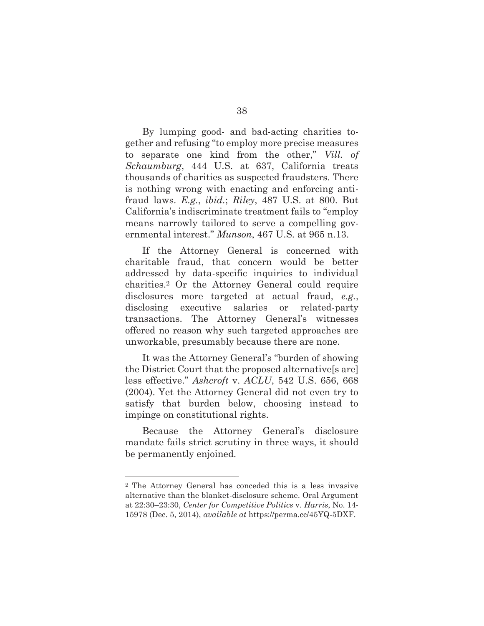By lumping good- and bad-acting charities together and refusing "to employ more precise measures to separate one kind from the other," *Vill. of Schaumburg*, 444 U.S. at 637, California treats thousands of charities as suspected fraudsters. There is nothing wrong with enacting and enforcing antifraud laws. *E.g.*, *ibid.*; *Riley*, 487 U.S. at 800. But California's indiscriminate treatment fails to "employ means narrowly tailored to serve a compelling governmental interest." *Munson*, 467 U.S. at 965 n.13.

If the Attorney General is concerned with charitable fraud, that concern would be better addressed by data-specific inquiries to individual charities.2 Or the Attorney General could require disclosures more targeted at actual fraud, *e.g.*, disclosing executive salaries or related-party transactions. The Attorney General's witnesses offered no reason why such targeted approaches are unworkable, presumably because there are none.

It was the Attorney General's "burden of showing the District Court that the proposed alternative[s are] less effective." *Ashcroft* v. *ACLU*, 542 U.S. 656, 668 (2004). Yet the Attorney General did not even try to satisfy that burden below, choosing instead to impinge on constitutional rights.

Because the Attorney General's disclosure mandate fails strict scrutiny in three ways, it should be permanently enjoined.

<sup>2</sup> The Attorney General has conceded this is a less invasive alternative than the blanket-disclosure scheme. Oral Argument at 22:30–23:30, *Center for Competitive Politics* v. *Harris*, No. 14- 15978 (Dec. 5, 2014), *available at* https://perma.cc/45YQ-5DXF.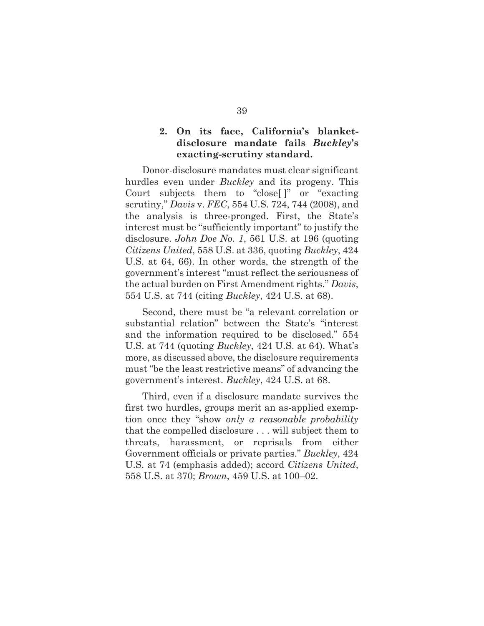## **2. On its face, California's blanketdisclosure mandate fails** *Buckley***'s exacting-scrutiny standard.**

Donor-disclosure mandates must clear significant hurdles even under *Buckley* and its progeny. This Court subjects them to "close[ ]" or "exacting scrutiny," *Davis* v. *FEC*, 554 U.S. 724, 744 (2008), and the analysis is three-pronged. First, the State's interest must be "sufficiently important" to justify the disclosure. *John Doe No. 1*, 561 U.S. at 196 (quoting *Citizens United*, 558 U.S. at 336, quoting *Buckley*, 424 U.S. at 64, 66). In other words, the strength of the government's interest "must reflect the seriousness of the actual burden on First Amendment rights." *Davis*, 554 U.S. at 744 (citing *Buckley*, 424 U.S. at 68).

Second, there must be "a relevant correlation or substantial relation" between the State's "interest and the information required to be disclosed." 554 U.S. at 744 (quoting *Buckley*, 424 U.S. at 64). What's more, as discussed above, the disclosure requirements must "be the least restrictive means" of advancing the government's interest. *Buckley*, 424 U.S. at 68.

Third, even if a disclosure mandate survives the first two hurdles, groups merit an as-applied exemption once they "show *only a reasonable probability* that the compelled disclosure . . . will subject them to threats, harassment, or reprisals from either Government officials or private parties." *Buckley*, 424 U.S. at 74 (emphasis added); accord *Citizens United*, 558 U.S. at 370; *Brown*, 459 U.S. at 100–02.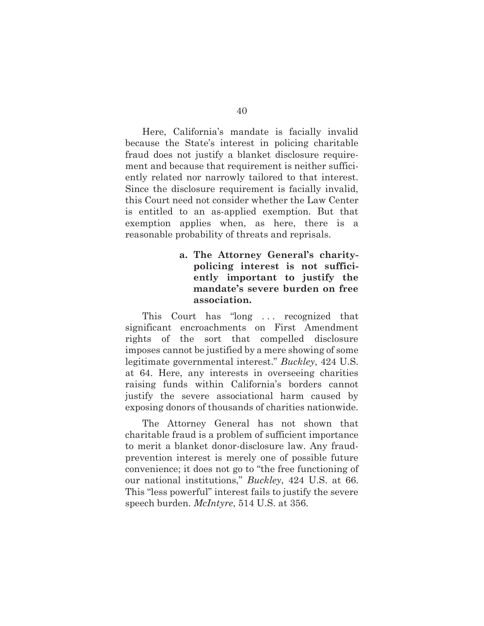Here, California's mandate is facially invalid because the State's interest in policing charitable fraud does not justify a blanket disclosure requirement and because that requirement is neither sufficiently related nor narrowly tailored to that interest. Since the disclosure requirement is facially invalid, this Court need not consider whether the Law Center is entitled to an as-applied exemption. But that exemption applies when, as here, there is a reasonable probability of threats and reprisals.

## **a. The Attorney General's charitypolicing interest is not sufficiently important to justify the mandate's severe burden on free association.**

This Court has "long . . . recognized that significant encroachments on First Amendment rights of the sort that compelled disclosure imposes cannot be justified by a mere showing of some legitimate governmental interest." *Buckley*, 424 U.S. at 64. Here, any interests in overseeing charities raising funds within California's borders cannot justify the severe associational harm caused by exposing donors of thousands of charities nationwide.

The Attorney General has not shown that charitable fraud is a problem of sufficient importance to merit a blanket donor-disclosure law. Any fraudprevention interest is merely one of possible future convenience; it does not go to "the free functioning of our national institutions," *Buckley*, 424 U.S. at 66. This "less powerful" interest fails to justify the severe speech burden. *McIntyre*, 514 U.S. at 356.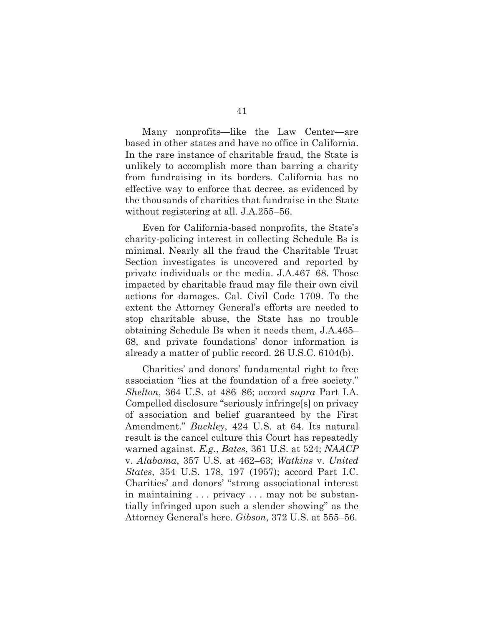Many nonprofits—like the Law Center—are based in other states and have no office in California. In the rare instance of charitable fraud, the State is unlikely to accomplish more than barring a charity from fundraising in its borders. California has no effective way to enforce that decree, as evidenced by the thousands of charities that fundraise in the State without registering at all. J.A.255–56.

Even for California-based nonprofits, the State's charity-policing interest in collecting Schedule Bs is minimal. Nearly all the fraud the Charitable Trust Section investigates is uncovered and reported by private individuals or the media. J.A.467–68. Those impacted by charitable fraud may file their own civil actions for damages. Cal. Civil Code 1709. To the extent the Attorney General's efforts are needed to stop charitable abuse, the State has no trouble obtaining Schedule Bs when it needs them, J.A.465– 68, and private foundations' donor information is already a matter of public record. 26 U.S.C. 6104(b).

Charities' and donors' fundamental right to free association "lies at the foundation of a free society." *Shelton*, 364 U.S. at 486–86; accord *supra* Part I.A. Compelled disclosure "seriously infringe[s] on privacy of association and belief guaranteed by the First Amendment." *Buckley*, 424 U.S. at 64. Its natural result is the cancel culture this Court has repeatedly warned against. *E.g.*, *Bates*, 361 U.S. at 524; *NAACP*  v. *Alabama*, 357 U.S. at 462–63; *Watkins* v. *United States*, 354 U.S. 178, 197 (1957); accord Part I.C. Charities' and donors' "strong associational interest in maintaining . . . privacy . . . may not be substantially infringed upon such a slender showing" as the Attorney General's here. *Gibson*, 372 U.S. at 555–56.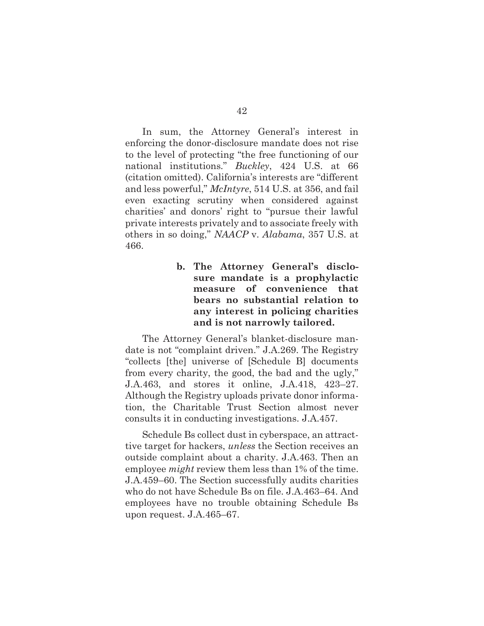In sum, the Attorney General's interest in enforcing the donor-disclosure mandate does not rise to the level of protecting "the free functioning of our national institutions." *Buckley*, 424 U.S. at 66 (citation omitted). California's interests are "different and less powerful," *McIntyre*, 514 U.S. at 356, and fail even exacting scrutiny when considered against charities' and donors' right to "pursue their lawful private interests privately and to associate freely with others in so doing," *NAACP* v. *Alabama*, 357 U.S. at 466.

> **b. The Attorney General's disclosure mandate is a prophylactic measure of convenience that bears no substantial relation to any interest in policing charities and is not narrowly tailored.**

The Attorney General's blanket-disclosure mandate is not "complaint driven." J.A.269. The Registry "collects [the] universe of [Schedule B] documents from every charity, the good, the bad and the ugly," J.A.463, and stores it online, J.A.418, 423–27. Although the Registry uploads private donor information, the Charitable Trust Section almost never consults it in conducting investigations. J.A.457.

Schedule Bs collect dust in cyberspace, an attracttive target for hackers, *unless* the Section receives an outside complaint about a charity. J.A.463. Then an employee *might* review them less than 1% of the time. J.A.459–60. The Section successfully audits charities who do not have Schedule Bs on file. J.A.463–64. And employees have no trouble obtaining Schedule Bs upon request. J.A.465–67.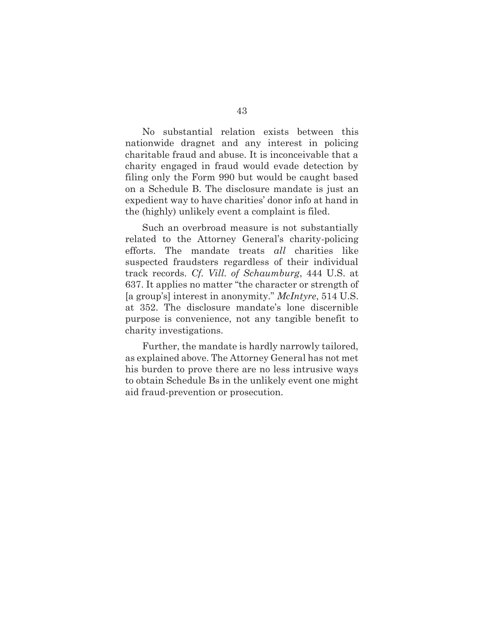No substantial relation exists between this nationwide dragnet and any interest in policing charitable fraud and abuse. It is inconceivable that a charity engaged in fraud would evade detection by filing only the Form 990 but would be caught based on a Schedule B. The disclosure mandate is just an expedient way to have charities' donor info at hand in the (highly) unlikely event a complaint is filed.

Such an overbroad measure is not substantially related to the Attorney General's charity-policing efforts. The mandate treats *all* charities like suspected fraudsters regardless of their individual track records. *Cf. Vill. of Schaumburg*, 444 U.S. at 637. It applies no matter "the character or strength of [a group's] interest in anonymity." *McIntyre*, 514 U.S. at 352. The disclosure mandate's lone discernible purpose is convenience, not any tangible benefit to charity investigations.

Further, the mandate is hardly narrowly tailored, as explained above. The Attorney General has not met his burden to prove there are no less intrusive ways to obtain Schedule Bs in the unlikely event one might aid fraud-prevention or prosecution.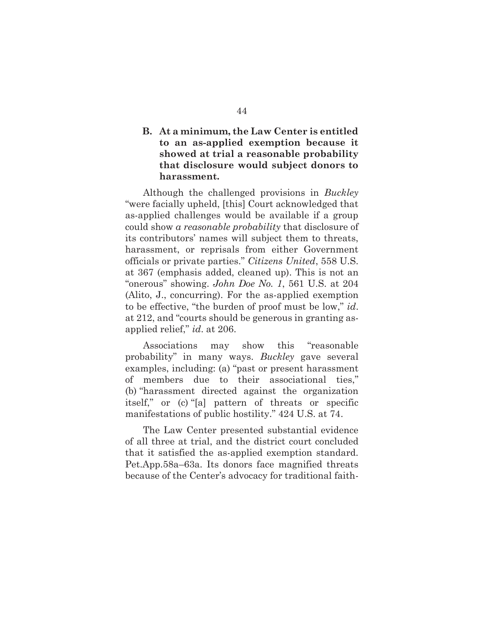## **B. At a minimum, the Law Center is entitled to an as-applied exemption because it showed at trial a reasonable probability that disclosure would subject donors to harassment.**

Although the challenged provisions in *Buckley* "were facially upheld, [this] Court acknowledged that as-applied challenges would be available if a group could show *a reasonable probability* that disclosure of its contributors' names will subject them to threats, harassment, or reprisals from either Government officials or private parties." *Citizens United*, 558 U.S. at 367 (emphasis added, cleaned up). This is not an "onerous" showing. *John Doe No. 1*, 561 U.S. at 204 (Alito, J., concurring). For the as-applied exemption to be effective, "the burden of proof must be low," *id*. at 212, and "courts should be generous in granting asapplied relief," *id*. at 206.

Associations may show this "reasonable probability" in many ways. *Buckley* gave several examples, including: (a) "past or present harassment of members due to their associational ties," (b) "harassment directed against the organization itself," or (c) "[a] pattern of threats or specific manifestations of public hostility." 424 U.S. at 74.

The Law Center presented substantial evidence of all three at trial, and the district court concluded that it satisfied the as-applied exemption standard. Pet.App.58a–63a. Its donors face magnified threats because of the Center's advocacy for traditional faith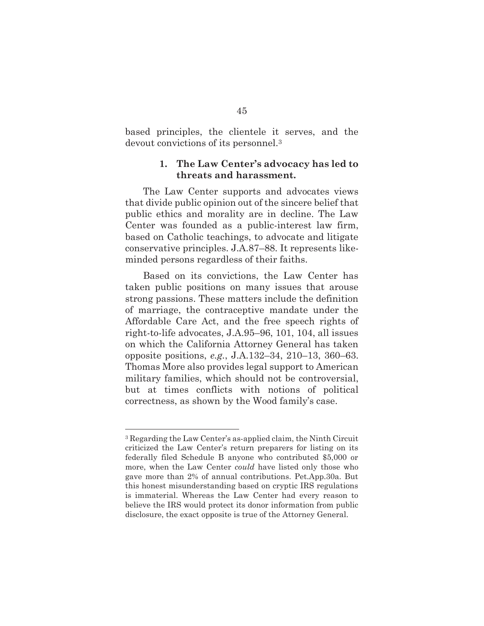based principles, the clientele it serves, and the devout convictions of its personnel.3

#### **1. The Law Center's advocacy has led to threats and harassment.**

The Law Center supports and advocates views that divide public opinion out of the sincere belief that public ethics and morality are in decline. The Law Center was founded as a public-interest law firm, based on Catholic teachings, to advocate and litigate conservative principles. J.A.87–88. It represents likeminded persons regardless of their faiths.

Based on its convictions, the Law Center has taken public positions on many issues that arouse strong passions. These matters include the definition of marriage, the contraceptive mandate under the Affordable Care Act, and the free speech rights of right-to-life advocates, J.A.95–96, 101, 104, all issues on which the California Attorney General has taken opposite positions, *e.g.*, J.A.132–34, 210–13, 360–63. Thomas More also provides legal support to American military families, which should not be controversial, but at times conflicts with notions of political correctness, as shown by the Wood family's case.

<sup>3</sup> Regarding the Law Center's as-applied claim, the Ninth Circuit criticized the Law Center's return preparers for listing on its federally filed Schedule B anyone who contributed \$5,000 or more, when the Law Center *could* have listed only those who gave more than 2% of annual contributions. Pet.App.30a. But this honest misunderstanding based on cryptic IRS regulations is immaterial. Whereas the Law Center had every reason to believe the IRS would protect its donor information from public disclosure, the exact opposite is true of the Attorney General.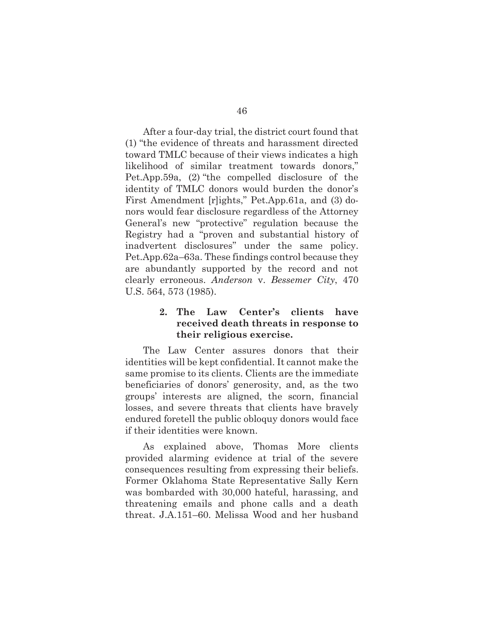After a four-day trial, the district court found that (1) "the evidence of threats and harassment directed toward TMLC because of their views indicates a high likelihood of similar treatment towards donors," Pet.App.59a, (2) "the compelled disclosure of the identity of TMLC donors would burden the donor's First Amendment [r]ights," Pet.App.61a, and (3) donors would fear disclosure regardless of the Attorney General's new "protective" regulation because the Registry had a "proven and substantial history of inadvertent disclosures" under the same policy. Pet.App.62a–63a. These findings control because they are abundantly supported by the record and not clearly erroneous. *Anderson* v. *Bessemer City*, 470 U.S. 564, 573 (1985).

## **2. The Law Center's clients have received death threats in response to their religious exercise.**

The Law Center assures donors that their identities will be kept confidential. It cannot make the same promise to its clients. Clients are the immediate beneficiaries of donors' generosity, and, as the two groups' interests are aligned, the scorn, financial losses, and severe threats that clients have bravely endured foretell the public obloquy donors would face if their identities were known.

As explained above, Thomas More clients provided alarming evidence at trial of the severe consequences resulting from expressing their beliefs. Former Oklahoma State Representative Sally Kern was bombarded with 30,000 hateful, harassing, and threatening emails and phone calls and a death threat. J.A.151–60. Melissa Wood and her husband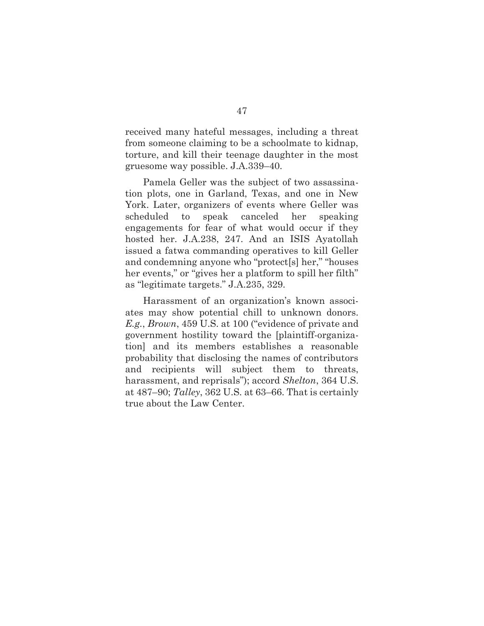received many hateful messages, including a threat from someone claiming to be a schoolmate to kidnap, torture, and kill their teenage daughter in the most gruesome way possible. J.A.339–40.

Pamela Geller was the subject of two assassination plots, one in Garland, Texas, and one in New York. Later, organizers of events where Geller was scheduled to speak canceled her speaking engagements for fear of what would occur if they hosted her. J.A.238, 247. And an ISIS Ayatollah issued a fatwa commanding operatives to kill Geller and condemning anyone who "protect[s] her," "houses her events," or "gives her a platform to spill her filth" as "legitimate targets." J.A.235, 329.

Harassment of an organization's known associates may show potential chill to unknown donors. *E.g.*, *Brown*, 459 U.S. at 100 ("evidence of private and government hostility toward the [plaintiff-organization] and its members establishes a reasonable probability that disclosing the names of contributors and recipients will subject them to threats, harassment, and reprisals"); accord *Shelton*, 364 U.S. at 487–90; *Talley*, 362 U.S. at 63–66. That is certainly true about the Law Center.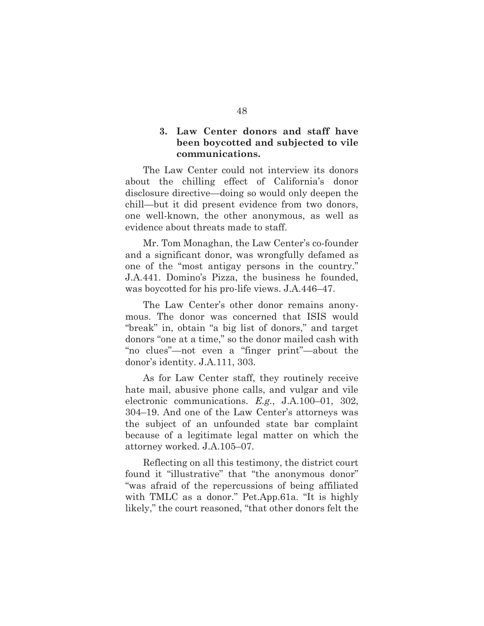## **3. Law Center donors and staff have been boycotted and subjected to vile communications.**

The Law Center could not interview its donors about the chilling effect of California's donor disclosure directive—doing so would only deepen the chill—but it did present evidence from two donors, one well-known, the other anonymous, as well as evidence about threats made to staff.

Mr. Tom Monaghan, the Law Center's co-founder and a significant donor, was wrongfully defamed as one of the "most antigay persons in the country." J.A.441. Domino's Pizza, the business he founded, was boycotted for his pro-life views. J.A.446–47.

The Law Center's other donor remains anonymous. The donor was concerned that ISIS would "break" in, obtain "a big list of donors," and target donors "one at a time," so the donor mailed cash with "no clues"—not even a "finger print"—about the donor's identity. J.A.111, 303.

As for Law Center staff, they routinely receive hate mail, abusive phone calls, and vulgar and vile electronic communications. *E.g.*, J.A.100–01, 302, 304–19. And one of the Law Center's attorneys was the subject of an unfounded state bar complaint because of a legitimate legal matter on which the attorney worked. J.A.105–07.

Reflecting on all this testimony, the district court found it "illustrative" that "the anonymous donor" "was afraid of the repercussions of being affiliated with TMLC as a donor." Pet.App.61a. "It is highly likely," the court reasoned, "that other donors felt the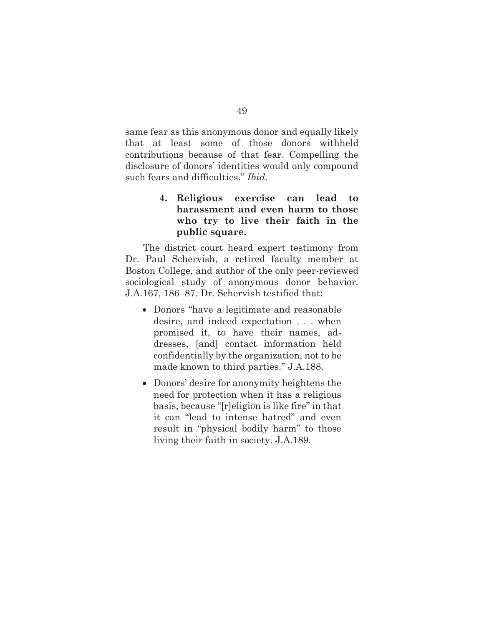same fear as this anonymous donor and equally likely that at least some of those donors withheld contributions because of that fear. Compelling the disclosure of donors' identities would only compound such fears and difficulties." *Ibid.*

## **4. Religious exercise can lead to harassment and even harm to those who try to live their faith in the public square.**

The district court heard expert testimony from Dr. Paul Schervish, a retired faculty member at Boston College, and author of the only peer-reviewed sociological study of anonymous donor behavior. J.A.167, 186–87. Dr. Schervish testified that:

- Donors "have a legitimate and reasonable desire, and indeed expectation . . . when promised it, to have their names, addresses, [and] contact information held confidentially by the organization, not to be made known to third parties." J.A.188.
- Donors' desire for anonymity heightens the need for protection when it has a religious basis, because "[r]eligion is like fire" in that it can "lead to intense hatred" and even result in "physical bodily harm" to those living their faith in society. J.A.189.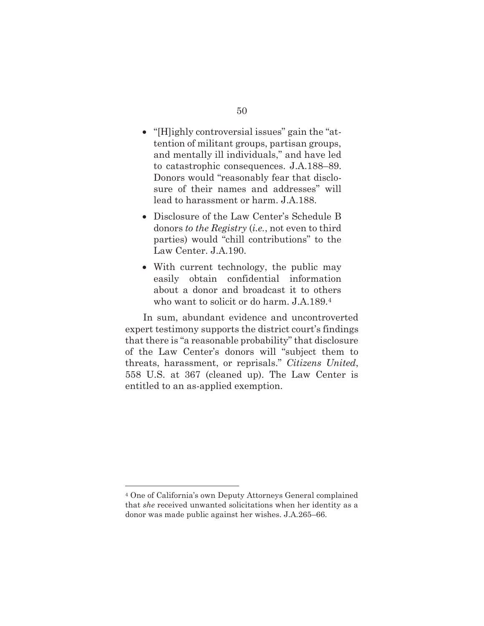- "[H]ighly controversial issues" gain the "attention of militant groups, partisan groups, and mentally ill individuals," and have led to catastrophic consequences. J.A.188–89. Donors would "reasonably fear that disclosure of their names and addresses" will lead to harassment or harm. J.A.188.
- Disclosure of the Law Center's Schedule B donors *to the Registry* (*i.e.*, not even to third parties) would "chill contributions" to the Law Center. J.A.190.
- With current technology, the public may easily obtain confidential information about a donor and broadcast it to others who want to solicit or do harm. J.A.189.4

In sum, abundant evidence and uncontroverted expert testimony supports the district court's findings that there is "a reasonable probability" that disclosure of the Law Center's donors will "subject them to threats, harassment, or reprisals." *Citizens United*, 558 U.S. at 367 (cleaned up). The Law Center is entitled to an as-applied exemption.

<sup>4</sup> One of California's own Deputy Attorneys General complained that *she* received unwanted solicitations when her identity as a donor was made public against her wishes. J.A.265–66.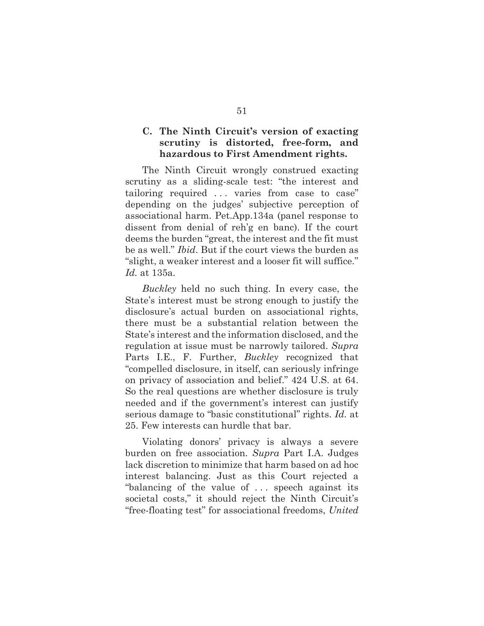## **C. The Ninth Circuit's version of exacting scrutiny is distorted, free-form, and hazardous to First Amendment rights.**

The Ninth Circuit wrongly construed exacting scrutiny as a sliding-scale test: "the interest and tailoring required . . . varies from case to case" depending on the judges' subjective perception of associational harm. Pet.App.134a (panel response to dissent from denial of reh'g en banc). If the court deems the burden "great, the interest and the fit must be as well." *Ibid*. But if the court views the burden as "slight, a weaker interest and a looser fit will suffice." *Id.* at 135a.

*Buckley* held no such thing. In every case, the State's interest must be strong enough to justify the disclosure's actual burden on associational rights, there must be a substantial relation between the State's interest and the information disclosed, and the regulation at issue must be narrowly tailored. *Supra* Parts I.E., F. Further, *Buckley* recognized that "compelled disclosure, in itself, can seriously infringe on privacy of association and belief." 424 U.S. at 64. So the real questions are whether disclosure is truly needed and if the government's interest can justify serious damage to "basic constitutional" rights. *Id.* at 25. Few interests can hurdle that bar.

Violating donors' privacy is always a severe burden on free association. *Supra* Part I.A. Judges lack discretion to minimize that harm based on ad hoc interest balancing. Just as this Court rejected a "balancing of the value of . . . speech against its societal costs," it should reject the Ninth Circuit's "free-floating test" for associational freedoms, *United*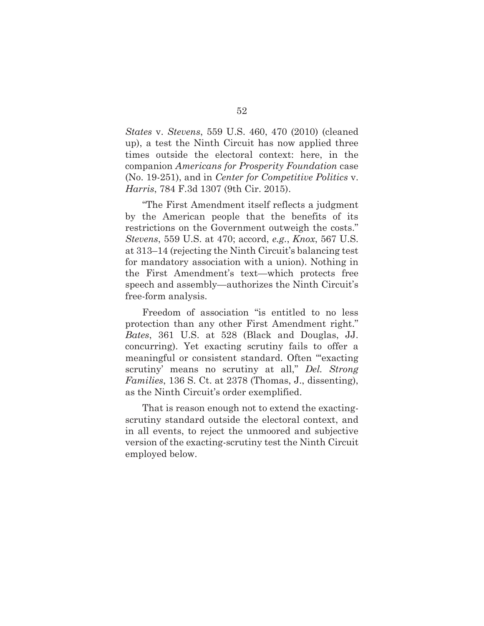*States* v. *Stevens*, 559 U.S. 460, 470 (2010) (cleaned up), a test the Ninth Circuit has now applied three times outside the electoral context: here, in the companion *Americans for Prosperity Foundation* case (No. 19-251), and in *Center for Competitive Politics* v. *Harris*, 784 F.3d 1307 (9th Cir. 2015).

"The First Amendment itself reflects a judgment by the American people that the benefits of its restrictions on the Government outweigh the costs." *Stevens*, 559 U.S. at 470; accord, *e.g.*, *Knox*, 567 U.S. at 313–14 (rejecting the Ninth Circuit's balancing test for mandatory association with a union). Nothing in the First Amendment's text—which protects free speech and assembly—authorizes the Ninth Circuit's free-form analysis.

Freedom of association "is entitled to no less protection than any other First Amendment right." *Bates*, 361 U.S. at 528 (Black and Douglas, JJ. concurring). Yet exacting scrutiny fails to offer a meaningful or consistent standard. Often "'exacting scrutiny' means no scrutiny at all," *Del. Strong Families*, 136 S. Ct. at 2378 (Thomas, J., dissenting), as the Ninth Circuit's order exemplified.

That is reason enough not to extend the exactingscrutiny standard outside the electoral context, and in all events, to reject the unmoored and subjective version of the exacting-scrutiny test the Ninth Circuit employed below.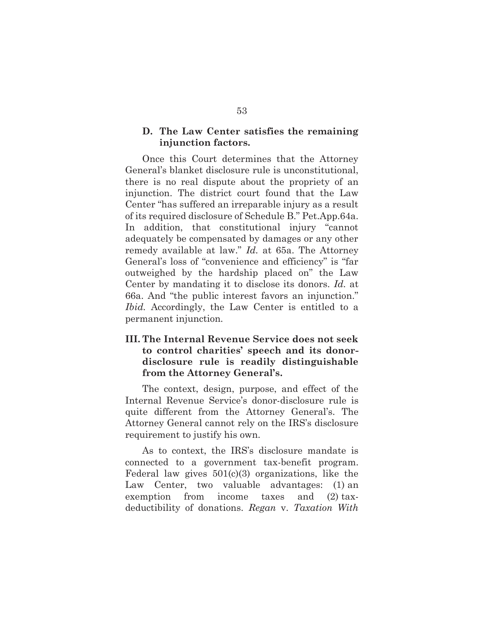#### **D. The Law Center satisfies the remaining injunction factors.**

Once this Court determines that the Attorney General's blanket disclosure rule is unconstitutional, there is no real dispute about the propriety of an injunction. The district court found that the Law Center "has suffered an irreparable injury as a result of its required disclosure of Schedule B." Pet.App.64a. In addition, that constitutional injury "cannot adequately be compensated by damages or any other remedy available at law." *Id.* at 65a. The Attorney General's loss of "convenience and efficiency" is "far outweighed by the hardship placed on" the Law Center by mandating it to disclose its donors. *Id.* at 66a. And "the public interest favors an injunction." *Ibid.* Accordingly, the Law Center is entitled to a permanent injunction.

## **III. The Internal Revenue Service does not seek to control charities' speech and its donordisclosure rule is readily distinguishable from the Attorney General's.**

The context, design, purpose, and effect of the Internal Revenue Service's donor-disclosure rule is quite different from the Attorney General's. The Attorney General cannot rely on the IRS's disclosure requirement to justify his own.

As to context, the IRS's disclosure mandate is connected to a government tax-benefit program. Federal law gives  $501(c)(3)$  organizations, like the Law Center, two valuable advantages: (1) an exemption from income taxes and (2) taxdeductibility of donations. *Regan* v. *Taxation With*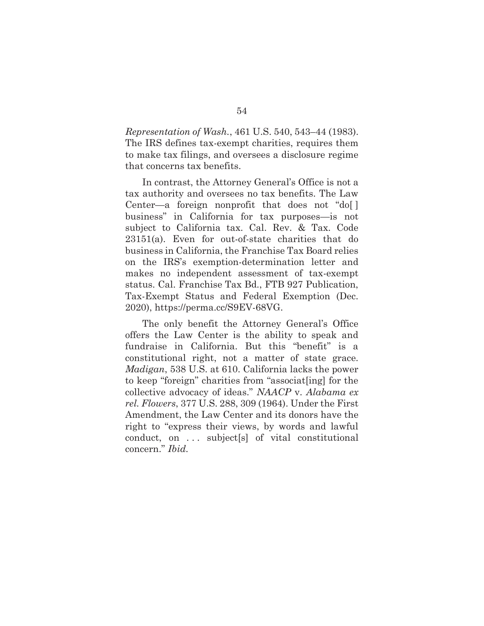*Representation of Wash.*, 461 U.S. 540, 543–44 (1983). The IRS defines tax-exempt charities, requires them to make tax filings, and oversees a disclosure regime that concerns tax benefits.

In contrast, the Attorney General's Office is not a tax authority and oversees no tax benefits. The Law Center—a foreign nonprofit that does not "do[ ] business" in California for tax purposes—is not subject to California tax. Cal. Rev. & Tax. Code 23151(a). Even for out-of-state charities that do business in California, the Franchise Tax Board relies on the IRS's exemption-determination letter and makes no independent assessment of tax-exempt status. Cal. Franchise Tax Bd., FTB 927 Publication, Tax-Exempt Status and Federal Exemption (Dec. 2020), https://perma.cc/S9EV-68VG.

The only benefit the Attorney General's Office offers the Law Center is the ability to speak and fundraise in California. But this "benefit" is a constitutional right, not a matter of state grace. *Madigan*, 538 U.S. at 610. California lacks the power to keep "foreign" charities from "associat[ing] for the collective advocacy of ideas." *NAACP* v. *Alabama ex rel. Flowers*, 377 U.S. 288, 309 (1964). Under the First Amendment, the Law Center and its donors have the right to "express their views, by words and lawful conduct, on . . . subject[s] of vital constitutional concern." *Ibid.*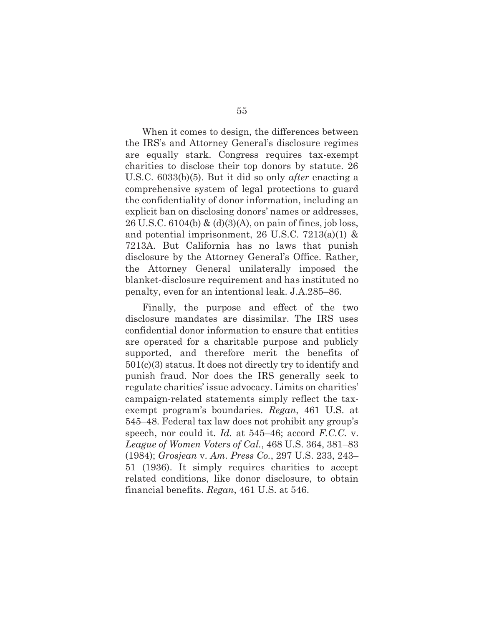When it comes to design, the differences between the IRS's and Attorney General's disclosure regimes are equally stark. Congress requires tax-exempt charities to disclose their top donors by statute. 26 U.S.C. 6033(b)(5). But it did so only *after* enacting a comprehensive system of legal protections to guard the confidentiality of donor information, including an explicit ban on disclosing donors' names or addresses, 26 U.S.C. 6104(b) & (d)(3)(A), on pain of fines, job loss, and potential imprisonment, 26 U.S.C. 7213(a)(1)  $\&$ 7213A. But California has no laws that punish disclosure by the Attorney General's Office. Rather, the Attorney General unilaterally imposed the blanket-disclosure requirement and has instituted no penalty, even for an intentional leak. J.A.285–86.

Finally, the purpose and effect of the two disclosure mandates are dissimilar. The IRS uses confidential donor information to ensure that entities are operated for a charitable purpose and publicly supported, and therefore merit the benefits of 501(c)(3) status. It does not directly try to identify and punish fraud. Nor does the IRS generally seek to regulate charities' issue advocacy. Limits on charities' campaign-related statements simply reflect the taxexempt program's boundaries. *Regan*, 461 U.S. at 545–48. Federal tax law does not prohibit any group's speech, nor could it. *Id.* at 545–46; accord *F.C.C.* v. *League of Women Voters of Cal.*, 468 U.S. 364, 381–83 (1984); *Grosjean* v. *Am. Press Co.*, 297 U.S. 233, 243– 51 (1936). It simply requires charities to accept related conditions, like donor disclosure, to obtain financial benefits. *Regan*, 461 U.S. at 546.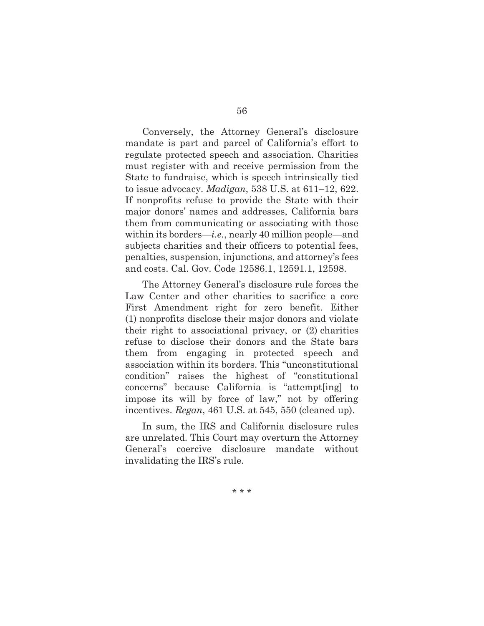Conversely, the Attorney General's disclosure mandate is part and parcel of California's effort to regulate protected speech and association. Charities must register with and receive permission from the State to fundraise, which is speech intrinsically tied to issue advocacy. *Madigan*, 538 U.S. at 611–12, 622. If nonprofits refuse to provide the State with their major donors' names and addresses, California bars them from communicating or associating with those within its borders—*i.e.*, nearly 40 million people—and subjects charities and their officers to potential fees, penalties, suspension, injunctions, and attorney's fees and costs. Cal. Gov. Code 12586.1, 12591.1, 12598.

The Attorney General's disclosure rule forces the Law Center and other charities to sacrifice a core First Amendment right for zero benefit. Either (1) nonprofits disclose their major donors and violate their right to associational privacy, or (2) charities refuse to disclose their donors and the State bars them from engaging in protected speech and association within its borders. This "unconstitutional condition" raises the highest of "constitutional concerns" because California is "attempt[ing] to impose its will by force of law," not by offering incentives. *Regan*, 461 U.S. at 545, 550 (cleaned up).

In sum, the IRS and California disclosure rules are unrelated. This Court may overturn the Attorney General's coercive disclosure mandate without invalidating the IRS's rule.

\* \* \*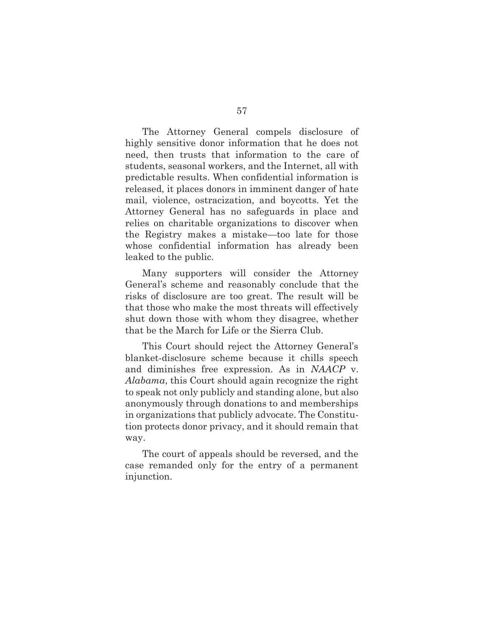The Attorney General compels disclosure of highly sensitive donor information that he does not need, then trusts that information to the care of students, seasonal workers, and the Internet, all with predictable results. When confidential information is released, it places donors in imminent danger of hate mail, violence, ostracization, and boycotts. Yet the Attorney General has no safeguards in place and relies on charitable organizations to discover when the Registry makes a mistake—too late for those whose confidential information has already been leaked to the public.

Many supporters will consider the Attorney General's scheme and reasonably conclude that the risks of disclosure are too great. The result will be that those who make the most threats will effectively shut down those with whom they disagree, whether that be the March for Life or the Sierra Club.

This Court should reject the Attorney General's blanket-disclosure scheme because it chills speech and diminishes free expression. As in *NAACP* v. *Alabama*, this Court should again recognize the right to speak not only publicly and standing alone, but also anonymously through donations to and memberships in organizations that publicly advocate. The Constitution protects donor privacy, and it should remain that way.

The court of appeals should be reversed, and the case remanded only for the entry of a permanent injunction.